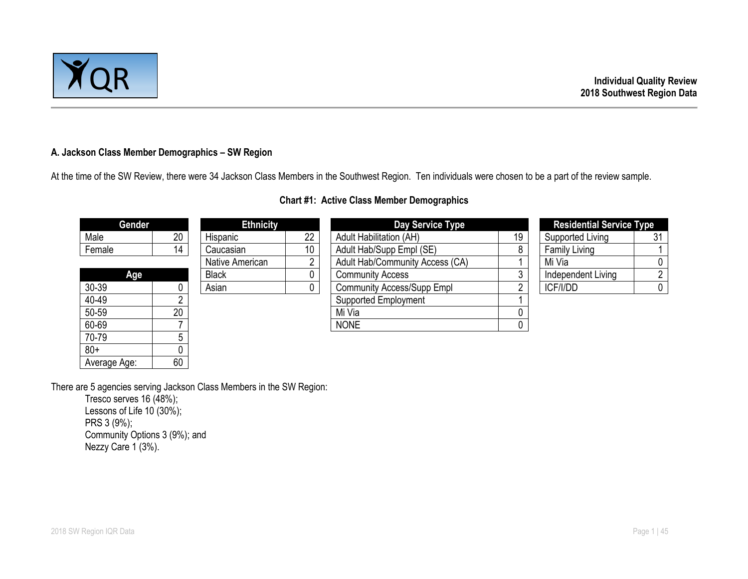

# **A. Jackson Class Member Demographics – SW Region**

At the time of the SW Review, there were 34 Jackson Class Members in the Southwest Region. Ten individuals were chosen to be a part of the review sample.

| Gender       |    | <b>Ethnicity</b> |                 | Day Service Type                  |    | <b>Residential Service Type</b> |    |  |
|--------------|----|------------------|-----------------|-----------------------------------|----|---------------------------------|----|--|
| Male         | 20 | Hispanic         | 22              | <b>Adult Habilitation (AH)</b>    | 19 | Supported Living                | 31 |  |
| Female       | 14 | Caucasian        | 10 <sup>1</sup> | Adult Hab/Supp Empl (SE)          | 8  | <b>Family Living</b>            |    |  |
|              |    | Native American  |                 | Adult Hab/Community Access (CA)   |    | Mi Via                          |    |  |
| Age          |    | <b>Black</b>     |                 | <b>Community Access</b>           | 3  | Independent Living              |    |  |
| 30-39        |    | Asian            |                 | <b>Community Access/Supp Empl</b> |    | ICF/I/DD                        |    |  |
| 40-49        |    |                  |                 | <b>Supported Employment</b>       |    |                                 |    |  |
| 50-59        | 20 |                  |                 | Mi Via                            |    |                                 |    |  |
| 60-69        |    |                  |                 | <b>NONE</b>                       |    |                                 |    |  |
| 70-79        |    |                  |                 |                                   |    |                                 |    |  |
| $80+$        |    |                  |                 |                                   |    |                                 |    |  |
| Average Age: | 60 |                  |                 |                                   |    |                                 |    |  |

# **Chart #1: Active Class Member Demographics**

There are 5 agencies serving Jackson Class Members in the SW Region:

Tresco serves 16 (48%); Lessons of Life 10 (30%); PRS 3 (9%); Community Options 3 (9%); and Nezzy Care 1 (3%).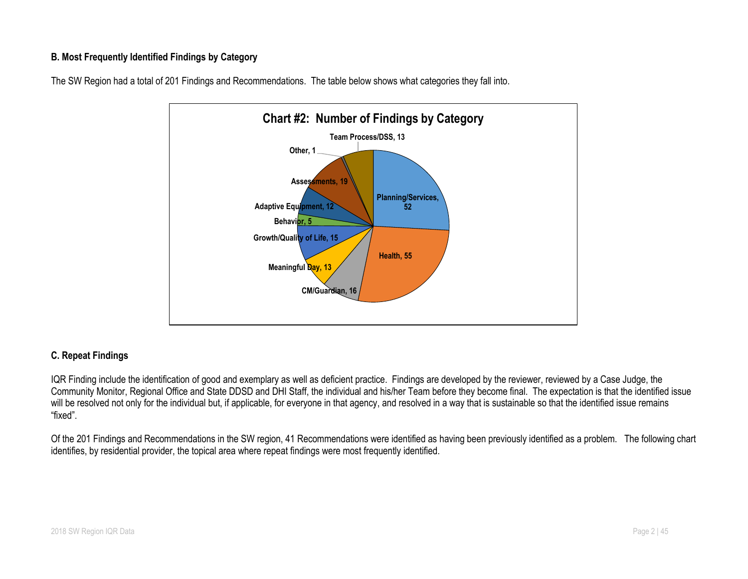# **B. Most Frequently Identified Findings by Category**





## **C. Repeat Findings**

IQR Finding include the identification of good and exemplary as well as deficient practice. Findings are developed by the reviewer, reviewed by a Case Judge, the Community Monitor, Regional Office and State DDSD and DHI Staff, the individual and his/her Team before they become final. The expectation is that the identified issue will be resolved not only for the individual but, if applicable, for everyone in that agency, and resolved in a way that is sustainable so that the identified issue remains "fixed".

Of the 201 Findings and Recommendations in the SW region, 41 Recommendations were identified as having been previously identified as a problem. The following chart identifies, by residential provider, the topical area where repeat findings were most frequently identified.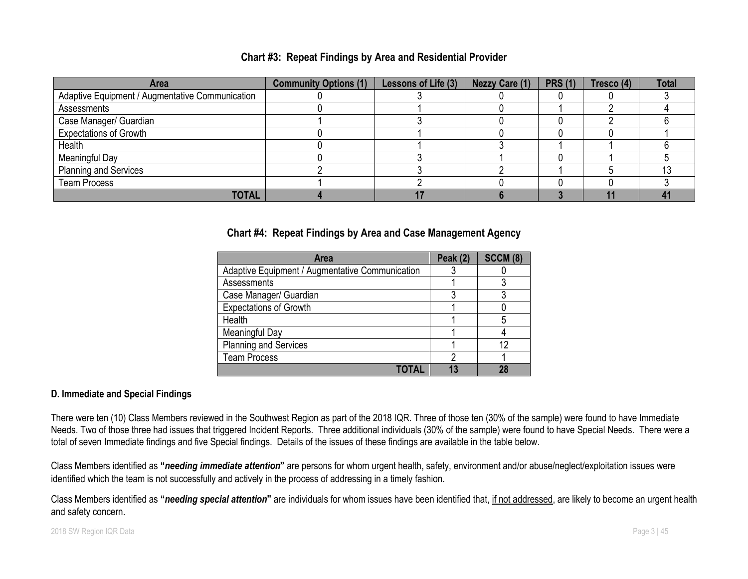| <b>Area</b>                                     | <b>Community Options (1)</b> | Lessons of Life (3) | Nezzy Care (1) | <b>PRS (1)</b> | Tresco (4) | <b>Total</b> |
|-------------------------------------------------|------------------------------|---------------------|----------------|----------------|------------|--------------|
| Adaptive Equipment / Augmentative Communication |                              |                     |                |                |            |              |
| Assessments                                     |                              |                     |                |                |            |              |
| Case Manager/ Guardian                          |                              |                     |                |                |            |              |
| <b>Expectations of Growth</b>                   |                              |                     |                |                |            |              |
| Health                                          |                              |                     |                |                |            |              |
| Meaningful Day                                  |                              |                     |                |                |            |              |
| <b>Planning and Services</b>                    |                              |                     |                |                |            |              |
| <b>Team Process</b>                             |                              |                     |                |                |            |              |
| <b>TOTAL</b>                                    |                              |                     |                |                |            |              |

# **Chart #3: Repeat Findings by Area and Residential Provider**

# **Chart #4: Repeat Findings by Area and Case Management Agency**

| Area                                            | <b>Peak (2)</b> | <b>SCCM (8)</b> |
|-------------------------------------------------|-----------------|-----------------|
| Adaptive Equipment / Augmentative Communication |                 |                 |
| Assessments                                     |                 |                 |
| Case Manager/ Guardian                          | າ               |                 |
| <b>Expectations of Growth</b>                   |                 |                 |
| Health                                          |                 | 5               |
| Meaningful Day                                  |                 |                 |
| <b>Planning and Services</b>                    |                 | 12              |
| <b>Team Process</b>                             | ŋ               |                 |
|                                                 |                 | 28              |

# **D. Immediate and Special Findings**

There were ten (10) Class Members reviewed in the Southwest Region as part of the 2018 IQR. Three of those ten (30% of the sample) were found to have Immediate Needs. Two of those three had issues that triggered Incident Reports. Three additional individuals (30% of the sample) were found to have Special Needs. There were a total of seven Immediate findings and five Special findings. Details of the issues of these findings are available in the table below.

Class Members identified as **"***needing immediate attention***"** are persons for whom urgent health, safety, environment and/or abuse/neglect/exploitation issues were identified which the team is not successfully and actively in the process of addressing in a timely fashion.

Class Members identified as **"***needing special attention***"** are individuals for whom issues have been identified that, if not addressed, are likely to become an urgent health and safety concern.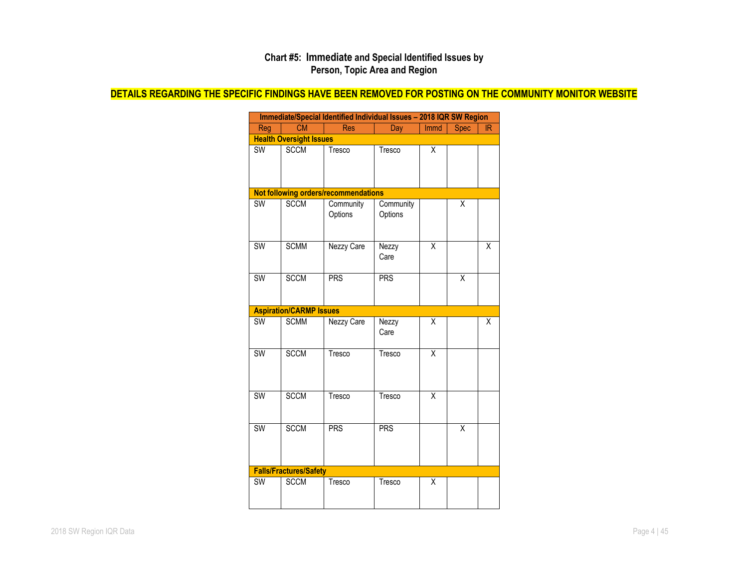## **Chart #5: Immediate and Special Identified Issues by Person, Topic Area and Region**

# **DETAILS REGARDING THE SPECIFIC FINDINGS HAVE BEEN REMOVED FOR POSTING ON THE COMMUNITY MONITOR WEBSITE**

|                        | Immediate/Special Identified Individual Issues - 2018 IQR SW Region |                                      |                      |                         |             |                         |
|------------------------|---------------------------------------------------------------------|--------------------------------------|----------------------|-------------------------|-------------|-------------------------|
| Reg                    | <b>CM</b>                                                           | <b>Res</b>                           | Day                  | Immd                    | <b>Spec</b> | <b>IR</b>               |
|                        | <b>Health Oversight Issues</b>                                      |                                      |                      |                         |             |                         |
| SW                     | <b>SCCM</b>                                                         | Tresco                               | Tresco               | Χ                       |             |                         |
|                        |                                                                     | Not following orders/recommendations |                      |                         |             |                         |
| SW                     | <b>SCCM</b>                                                         | Community<br>Options                 | Community<br>Options |                         | Χ           |                         |
| <b>SW</b>              | <b>SCMM</b>                                                         | <b>Nezzy Care</b>                    | Nezzy<br>Care        | $\overline{\mathsf{x}}$ |             | $\overline{\mathsf{x}}$ |
| SW                     | <b>SCCM</b>                                                         | <b>PRS</b>                           | <b>PRS</b>           |                         | X           |                         |
|                        | <b>Aspiration/CARMP Issues</b>                                      |                                      |                      |                         |             |                         |
| $\overline{\text{SW}}$ | <b>SCMM</b>                                                         | Nezzy Care                           | Nezzy<br>Care        | X                       |             | X                       |
| <b>SW</b>              | <b>SCCM</b>                                                         | Tresco                               | Tresco               | X                       |             |                         |
| <b>SW</b>              | <b>SCCM</b>                                                         | Tresco                               | Tresco               | $\overline{\mathsf{x}}$ |             |                         |
| <b>SW</b>              | <b>SCCM</b>                                                         | <b>PRS</b>                           | <b>PRS</b>           |                         | X           |                         |
|                        | <b>Falls/Fractures/Safety</b>                                       |                                      |                      |                         |             |                         |
| SW                     | <b>SCCM</b>                                                         | Tresco                               | Tresco               | X                       |             |                         |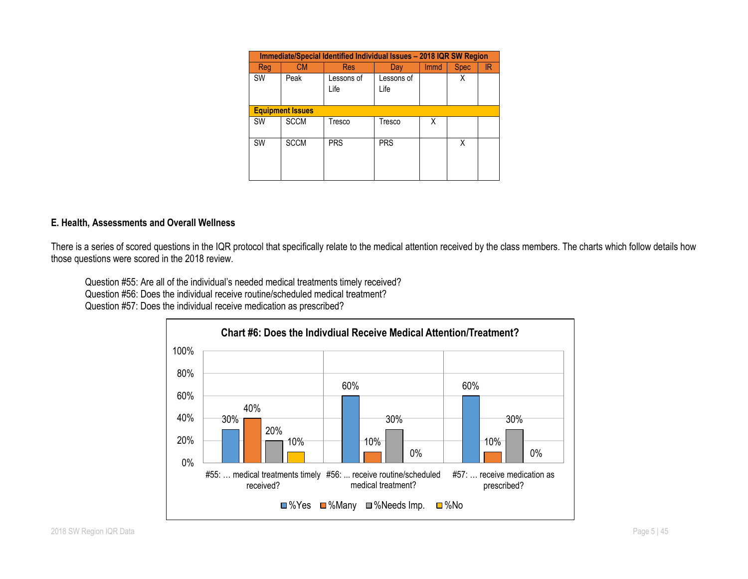|                         | Immediate/Special Identified Individual Issues - 2018 IQR SW Region |                    |                    |             |             |     |  |  |
|-------------------------|---------------------------------------------------------------------|--------------------|--------------------|-------------|-------------|-----|--|--|
| <b>Reg</b>              | CМ                                                                  | <b>Res</b>         | Day                | <b>Immd</b> | <b>Spec</b> | IR. |  |  |
| <b>SW</b>               | Peak                                                                | Lessons of<br>Life | Lessons of<br>Life |             | Χ           |     |  |  |
| <b>Equipment Issues</b> |                                                                     |                    |                    |             |             |     |  |  |
| <b>SW</b>               | <b>SCCM</b>                                                         | Tresco             | Tresco             | X           |             |     |  |  |
| <b>SW</b>               | <b>SCCM</b>                                                         | <b>PRS</b>         | <b>PRS</b>         |             | X           |     |  |  |

# **E. Health, Assessments and Overall Wellness**

There is a series of scored questions in the IQR protocol that specifically relate to the medical attention received by the class members. The charts which follow details how those questions were scored in the 2018 review.

Question #55: Are all of the individual's needed medical treatments timely received? Question #56: Does the individual receive routine/scheduled medical treatment?

Question #57: Does the individual receive medication as prescribed?

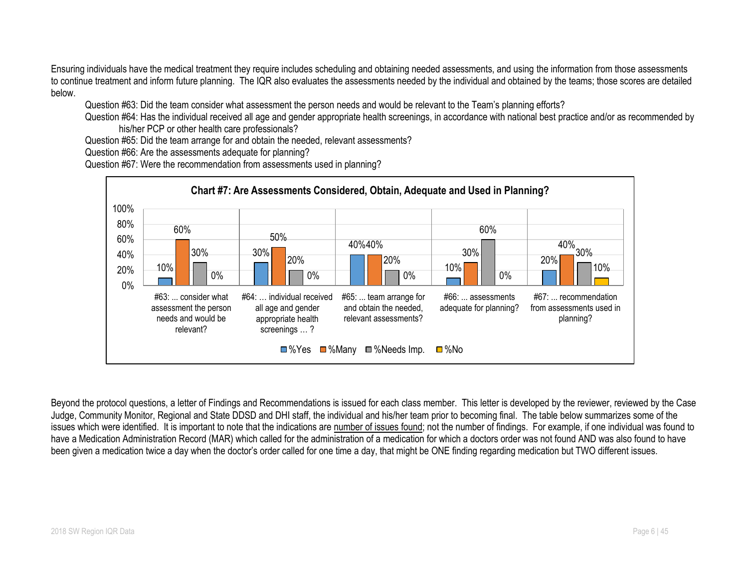Ensuring individuals have the medical treatment they require includes scheduling and obtaining needed assessments, and using the information from those assessments to continue treatment and inform future planning. The IQR also evaluates the assessments needed by the individual and obtained by the teams; those scores are detailed below.

Question #63: Did the team consider what assessment the person needs and would be relevant to the Team's planning efforts?

Question #64: Has the individual received all age and gender appropriate health screenings, in accordance with national best practice and/or as recommended by his/her PCP or other health care professionals?

Question #65: Did the team arrange for and obtain the needed, relevant assessments?

Question #66: Are the assessments adequate for planning?

Question #67: Were the recommendation from assessments used in planning?



Beyond the protocol questions, a letter of Findings and Recommendations is issued for each class member. This letter is developed by the reviewer, reviewed by the Case Judge, Community Monitor, Regional and State DDSD and DHI staff, the individual and his/her team prior to becoming final. The table below summarizes some of the issues which were identified. It is important to note that the indications are number of issues found; not the number of findings. For example, if one individual was found to have a Medication Administration Record (MAR) which called for the administration of a medication for which a doctors order was not found AND was also found to have been given a medication twice a day when the doctor's order called for one time a day, that might be ONE finding regarding medication but TWO different issues.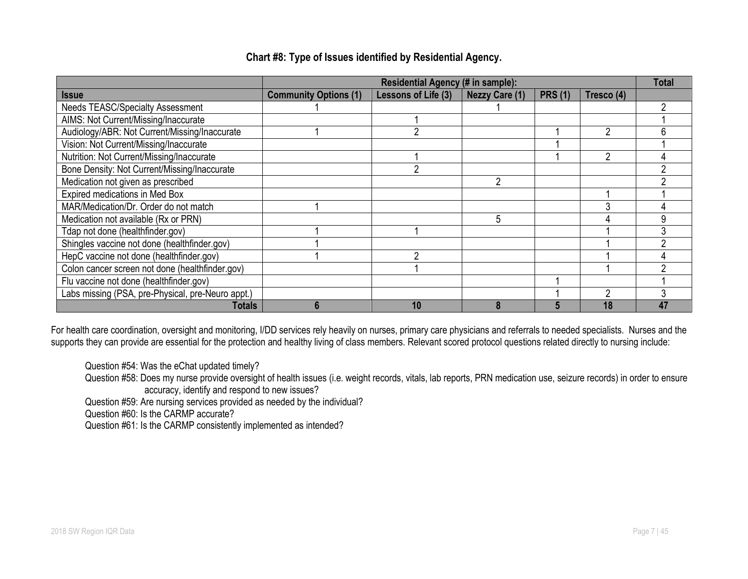|                                                   |                              | Residential Agency (# in sample): |                       |                |            | Total |
|---------------------------------------------------|------------------------------|-----------------------------------|-----------------------|----------------|------------|-------|
| <b>Issue</b>                                      | <b>Community Options (1)</b> | Lessons of Life (3)               | <b>Nezzy Care (1)</b> | <b>PRS (1)</b> | Tresco (4) |       |
| Needs TEASC/Specialty Assessment                  |                              |                                   |                       |                |            |       |
| AIMS: Not Current/Missing/Inaccurate              |                              |                                   |                       |                |            |       |
| Audiology/ABR: Not Current/Missing/Inaccurate     |                              | റ                                 |                       |                | 2          | n     |
| Vision: Not Current/Missing/Inaccurate            |                              |                                   |                       |                |            |       |
| Nutrition: Not Current/Missing/Inaccurate         |                              |                                   |                       |                |            |       |
| Bone Density: Not Current/Missing/Inaccurate      |                              | $\overline{2}$                    |                       |                |            |       |
| Medication not given as prescribed                |                              |                                   |                       |                |            |       |
| Expired medications in Med Box                    |                              |                                   |                       |                |            |       |
| MAR/Medication/Dr. Order do not match             |                              |                                   |                       |                | ◠          |       |
| Medication not available (Rx or PRN)              |                              |                                   | 5                     |                |            |       |
| Tdap not done (healthfinder.gov)                  |                              |                                   |                       |                |            |       |
| Shingles vaccine not done (healthfinder.gov)      |                              |                                   |                       |                |            |       |
| HepC vaccine not done (healthfinder.gov)          |                              | C                                 |                       |                |            |       |
| Colon cancer screen not done (healthfinder.gov)   |                              |                                   |                       |                |            |       |
| Flu vaccine not done (healthfinder.gov)           |                              |                                   |                       |                |            |       |
| Labs missing (PSA, pre-Physical, pre-Neuro appt.) |                              |                                   |                       |                |            |       |
| <b>Totals</b>                                     | h                            | 10                                |                       |                | 18         | 47    |

# **Chart #8: Type of Issues identified by Residential Agency.**

For health care coordination, oversight and monitoring, I/DD services rely heavily on nurses, primary care physicians and referrals to needed specialists. Nurses and the supports they can provide are essential for the protection and healthy living of class members. Relevant scored protocol questions related directly to nursing include:

Question #54: Was the eChat updated timely?

Question #59: Are nursing services provided as needed by the individual?

Question #60: Is the CARMP accurate?

Question #61: Is the CARMP consistently implemented as intended?

Question #58: Does my nurse provide oversight of health issues (i.e. weight records, vitals, lab reports, PRN medication use, seizure records) in order to ensure accuracy, identify and respond to new issues?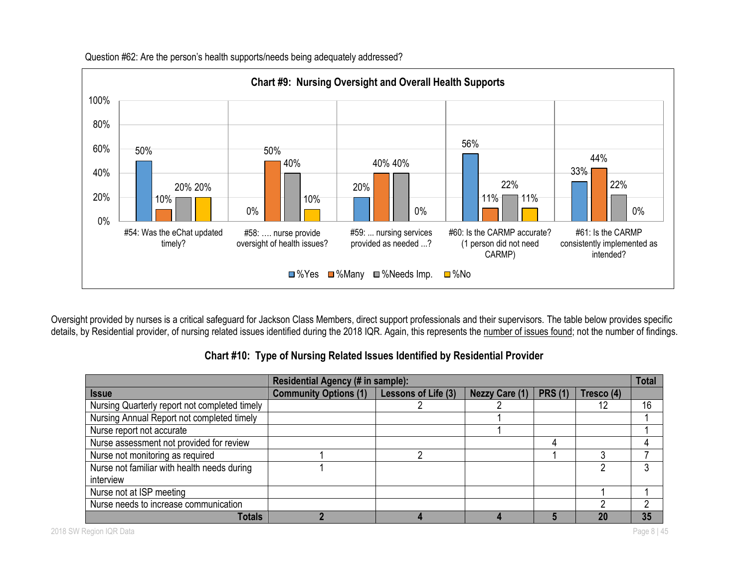

Question #62: Are the person's health supports/needs being adequately addressed?

Oversight provided by nurses is a critical safeguard for Jackson Class Members, direct support professionals and their supervisors. The table below provides specific details, by Residential provider, of nursing related issues identified during the 2018 IQR. Again, this represents the number of issues found; not the number of findings.

|                                               | Residential Agency (# in sample): |                     |                       |                |            | <b>Total</b> |
|-----------------------------------------------|-----------------------------------|---------------------|-----------------------|----------------|------------|--------------|
| <b>Issue</b>                                  | <b>Community Options (1)</b>      | Lessons of Life (3) | <b>Nezzy Care (1)</b> | <b>PRS (1)</b> | Tresco (4) |              |
| Nursing Quarterly report not completed timely |                                   |                     |                       |                |            | 16           |
| Nursing Annual Report not completed timely    |                                   |                     |                       |                |            |              |
| Nurse report not accurate                     |                                   |                     |                       |                |            |              |
| Nurse assessment not provided for review      |                                   |                     |                       |                |            |              |
| Nurse not monitoring as required              |                                   |                     |                       |                |            |              |
| Nurse not familiar with health needs during   |                                   |                     |                       |                |            |              |
| interview                                     |                                   |                     |                       |                |            |              |
| Nurse not at ISP meeting                      |                                   |                     |                       |                |            |              |
| Nurse needs to increase communication         |                                   |                     |                       |                |            |              |
| <b>Totals</b>                                 |                                   |                     |                       |                | <b>20</b>  | 35           |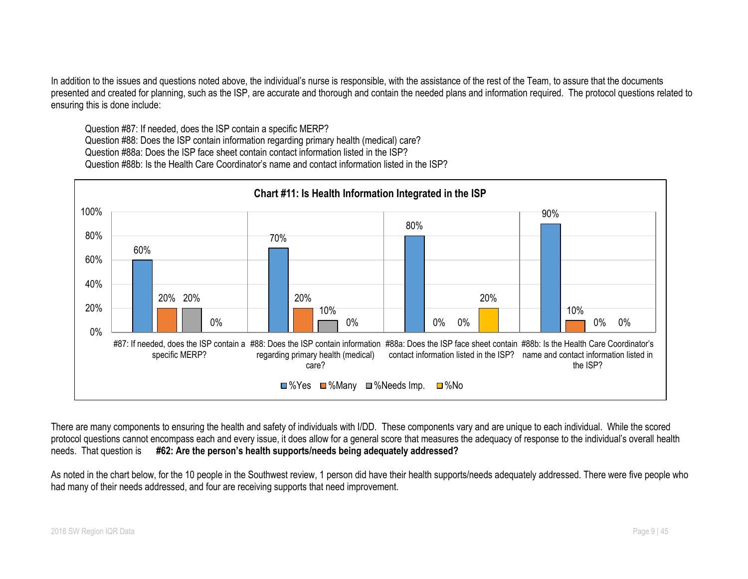In addition to the issues and questions noted above, the individual's nurse is responsible, with the assistance of the rest of the Team, to assure that the documents presented and created for planning, such as the ISP, are accurate and thorough and contain the needed plans and information required. The protocol questions related to ensuring this is done include:

Question #87: If needed, does the ISP contain a specific MERP? Question #88: Does the ISP contain information regarding primary health (medical) care? Question #88a: Does the ISP face sheet contain contact information listed in the ISP? Question #88b: Is the Health Care Coordinator's name and contact information listed in the ISP?



There are many components to ensuring the health and safety of individuals with I/DD. These components vary and are unique to each individual. While the scored protocol questions cannot encompass each and every issue, it does allow for a general score that measures the adequacy of response to the individual's overall health needs. That question is **#62: Are the person's health supports/needs being adequately addressed?**

As noted in the chart below, for the 10 people in the Southwest review, 1 person did have their health supports/needs adequately addressed. There were five people who had many of their needs addressed, and four are receiving supports that need improvement.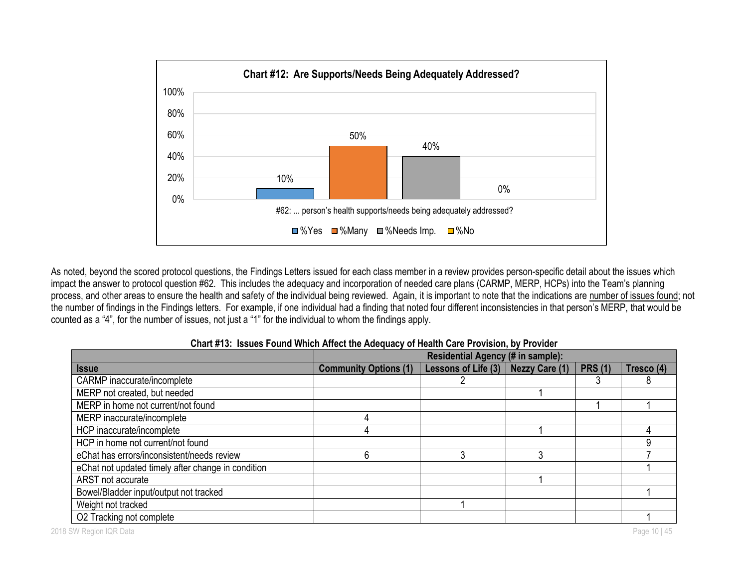

As noted, beyond the scored protocol questions, the Findings Letters issued for each class member in a review provides person-specific detail about the issues which impact the answer to protocol question #62. This includes the adequacy and incorporation of needed care plans (CARMP, MERP, HCPs) into the Team's planning process, and other areas to ensure the health and safety of the individual being reviewed. Again, it is important to note that the indications are number of issues found; not the number of findings in the Findings letters. For example, if one individual had a finding that noted four different inconsistencies in that person's MERP, that would be counted as a "4", for the number of issues, not just a "1" for the individual to whom the findings apply.

|                                                    | Residential Agency (# in sample): |                     |                       |                |            |
|----------------------------------------------------|-----------------------------------|---------------------|-----------------------|----------------|------------|
| <b>Issue</b>                                       | <b>Community Options (1)</b>      | Lessons of Life (3) | <b>Nezzy Care (1)</b> | <b>PRS (1)</b> | Tresco (4) |
| CARMP inaccurate/incomplete                        |                                   |                     |                       |                |            |
| MERP not created, but needed                       |                                   |                     |                       |                |            |
| MERP in home not current/not found                 |                                   |                     |                       |                |            |
| MERP inaccurate/incomplete                         |                                   |                     |                       |                |            |
| HCP inaccurate/incomplete                          | 4                                 |                     |                       |                |            |
| HCP in home not current/not found                  |                                   |                     |                       |                |            |
| eChat has errors/inconsistent/needs review         | 6                                 |                     |                       |                |            |
| eChat not updated timely after change in condition |                                   |                     |                       |                |            |
| ARST not accurate                                  |                                   |                     |                       |                |            |
| Bowel/Bladder input/output not tracked             |                                   |                     |                       |                |            |
| Weight not tracked                                 |                                   |                     |                       |                |            |
| O2 Tracking not complete                           |                                   |                     |                       |                |            |

#### **Chart #13: Issues Found Which Affect the Adequacy of Health Care Provision, by Provider**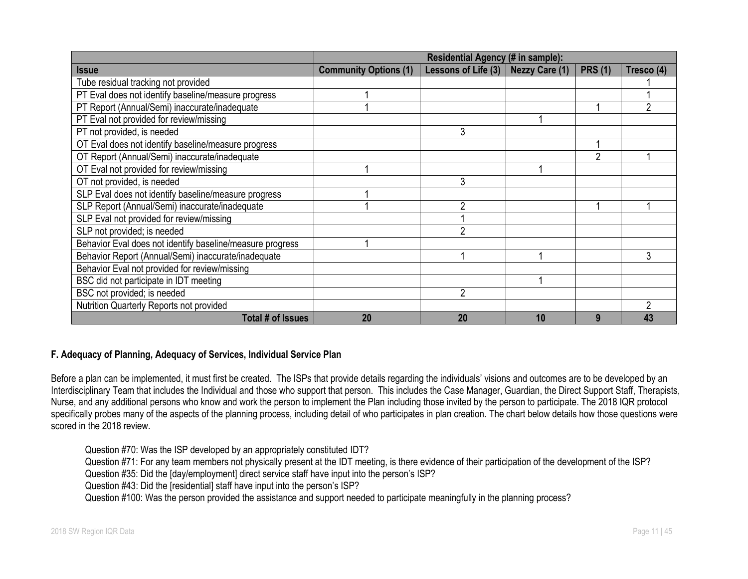|                                                           | Residential Agency (# in sample): |                       |                       |                |            |  |
|-----------------------------------------------------------|-----------------------------------|-----------------------|-----------------------|----------------|------------|--|
| <b>Issue</b>                                              | <b>Community Options (1)</b>      | Lessons of Life $(3)$ | <b>Nezzy Care (1)</b> | <b>PRS (1)</b> | Tresco (4) |  |
| Tube residual tracking not provided                       |                                   |                       |                       |                |            |  |
| PT Eval does not identify baseline/measure progress       |                                   |                       |                       |                |            |  |
| PT Report (Annual/Semi) inaccurate/inadequate             |                                   |                       |                       |                |            |  |
| PT Eval not provided for review/missing                   |                                   |                       |                       |                |            |  |
| PT not provided, is needed                                |                                   | 3                     |                       |                |            |  |
| OT Eval does not identify baseline/measure progress       |                                   |                       |                       |                |            |  |
| OT Report (Annual/Semi) inaccurate/inadequate             |                                   |                       |                       | $\overline{2}$ |            |  |
| OT Eval not provided for review/missing                   |                                   |                       |                       |                |            |  |
| OT not provided, is needed                                |                                   | 3                     |                       |                |            |  |
| SLP Eval does not identify baseline/measure progress      |                                   |                       |                       |                |            |  |
| SLP Report (Annual/Semi) inaccurate/inadequate            |                                   | $\mathcal{P}$         |                       |                |            |  |
| SLP Eval not provided for review/missing                  |                                   |                       |                       |                |            |  |
| SLP not provided; is needed                               |                                   | $\overline{2}$        |                       |                |            |  |
| Behavior Eval does not identify baseline/measure progress |                                   |                       |                       |                |            |  |
| Behavior Report (Annual/Semi) inaccurate/inadequate       |                                   |                       |                       |                | 3          |  |
| Behavior Eval not provided for review/missing             |                                   |                       |                       |                |            |  |
| BSC did not participate in IDT meeting                    |                                   |                       |                       |                |            |  |
| BSC not provided; is needed                               |                                   | $\overline{2}$        |                       |                |            |  |
| Nutrition Quarterly Reports not provided                  |                                   |                       |                       |                |            |  |
| Total # of Issues                                         | 20                                | 20                    | 10                    | 9              | 43         |  |

# **F. Adequacy of Planning, Adequacy of Services, Individual Service Plan**

Before a plan can be implemented, it must first be created. The ISPs that provide details regarding the individuals' visions and outcomes are to be developed by an Interdisciplinary Team that includes the Individual and those who support that person. This includes the Case Manager, Guardian, the Direct Support Staff, Therapists, Nurse, and any additional persons who know and work the person to implement the Plan including those invited by the person to participate. The 2018 IQR protocol specifically probes many of the aspects of the planning process, including detail of who participates in plan creation. The chart below details how those questions were scored in the 2018 review.

Question #70: Was the ISP developed by an appropriately constituted IDT?

Question #71: For any team members not physically present at the IDT meeting, is there evidence of their participation of the development of the ISP?

Question #35: Did the [day/employment] direct service staff have input into the person's ISP?

Question #43: Did the [residential] staff have input into the person's ISP?

Question #100: Was the person provided the assistance and support needed to participate meaningfully in the planning process?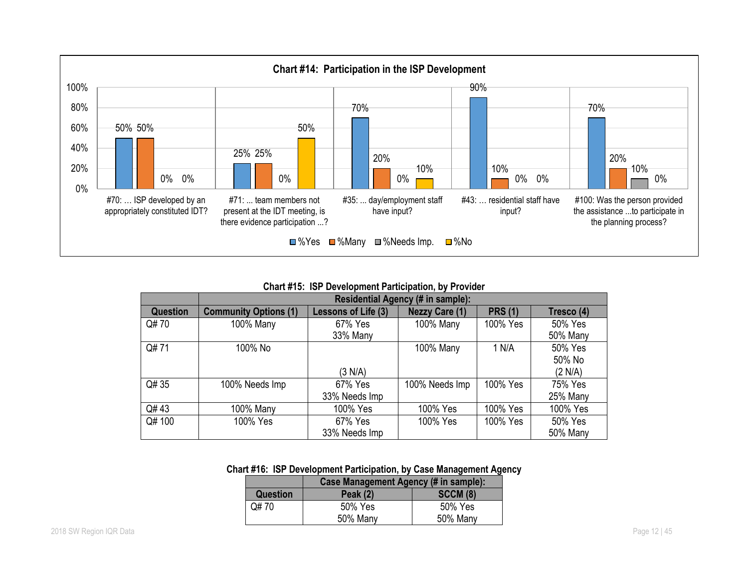

**Chart #15: ISP Development Participation, by Provider**

|          |                              | Residential Agency (# in sample): |                       |                |            |  |  |
|----------|------------------------------|-----------------------------------|-----------------------|----------------|------------|--|--|
| Question | <b>Community Options (1)</b> | Lessons of Life (3)               | <b>Nezzy Care (1)</b> | <b>PRS (1)</b> | Tresco (4) |  |  |
| Q#70     | 100% Many                    | 67% Yes                           | 100% Many             | 100% Yes       | 50% Yes    |  |  |
|          |                              | 33% Many                          |                       |                | 50% Many   |  |  |
| Q#71     | 100% No                      |                                   | 100% Many             | 1 N/A          | 50% Yes    |  |  |
|          |                              |                                   |                       |                | 50% No     |  |  |
|          |                              | (3 N/A)                           |                       |                | (2 N/A)    |  |  |
| Q# 35    | 100% Needs Imp               | 67% Yes                           | 100% Needs Imp        | 100% Yes       | 75% Yes    |  |  |
|          |                              | 33% Needs Imp                     |                       |                | 25% Many   |  |  |
| Q#43     | 100% Many                    | 100% Yes                          | 100% Yes              | 100% Yes       | 100% Yes   |  |  |
| Q# 100   | 100% Yes                     | 67% Yes                           | 100% Yes              | 100% Yes       | 50% Yes    |  |  |
|          |                              | 33% Needs Imp                     |                       |                | 50% Many   |  |  |

#### **Chart #16: ISP Development Participation, by Case Management Agency**

|                 | Case Management Agency (# in sample): |                 |  |  |
|-----------------|---------------------------------------|-----------------|--|--|
| <b>Question</b> | Peak $(2)$                            | <b>SCCM (8)</b> |  |  |
| Q# 70           | 50% Yes                               | 50% Yes         |  |  |
|                 | 50% Many                              | 50% Many        |  |  |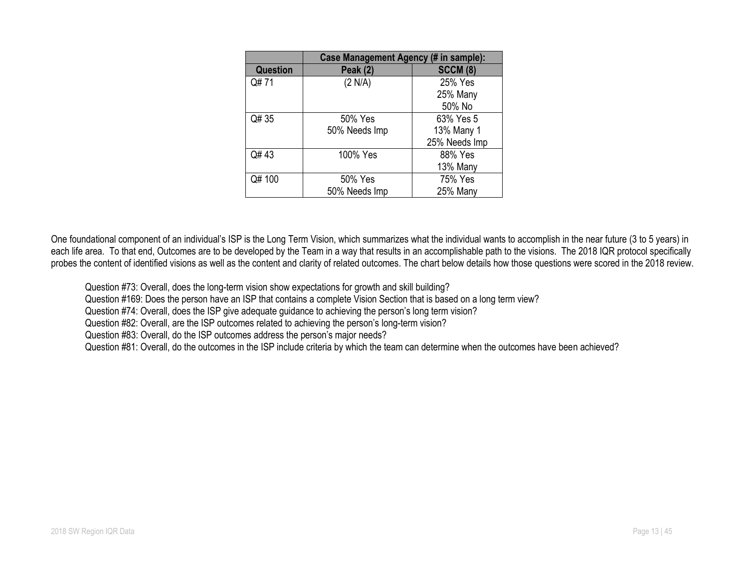|                 | Case Management Agency (# in sample): |                 |  |  |
|-----------------|---------------------------------------|-----------------|--|--|
| <b>Question</b> | <b>Peak (2)</b>                       | <b>SCCM (8)</b> |  |  |
| Q#71            | (2 N/A)                               | 25% Yes         |  |  |
|                 |                                       | 25% Many        |  |  |
|                 |                                       | 50% No          |  |  |
| Q# 35           | 50% Yes                               | 63% Yes 5       |  |  |
|                 | 50% Needs Imp                         | 13% Many 1      |  |  |
|                 |                                       | 25% Needs Imp   |  |  |
| Q#43            | 100% Yes                              | 88% Yes         |  |  |
|                 |                                       | 13% Many        |  |  |
| Q# 100          | 50% Yes                               | 75% Yes         |  |  |
|                 | 50% Needs Imp                         | 25% Many        |  |  |

One foundational component of an individual's ISP is the Long Term Vision, which summarizes what the individual wants to accomplish in the near future (3 to 5 years) in each life area. To that end, Outcomes are to be developed by the Team in a way that results in an accomplishable path to the visions. The 2018 IQR protocol specifically probes the content of identified visions as well as the content and clarity of related outcomes. The chart below details how those questions were scored in the 2018 review.

Question #73: Overall, does the long-term vision show expectations for growth and skill building?

Question #169: Does the person have an ISP that contains a complete Vision Section that is based on a long term view?

Question #74: Overall, does the ISP give adequate guidance to achieving the person's long term vision?

Question #82: Overall, are the ISP outcomes related to achieving the person's long-term vision?

Question #83: Overall, do the ISP outcomes address the person's major needs?

Question #81: Overall, do the outcomes in the ISP include criteria by which the team can determine when the outcomes have been achieved?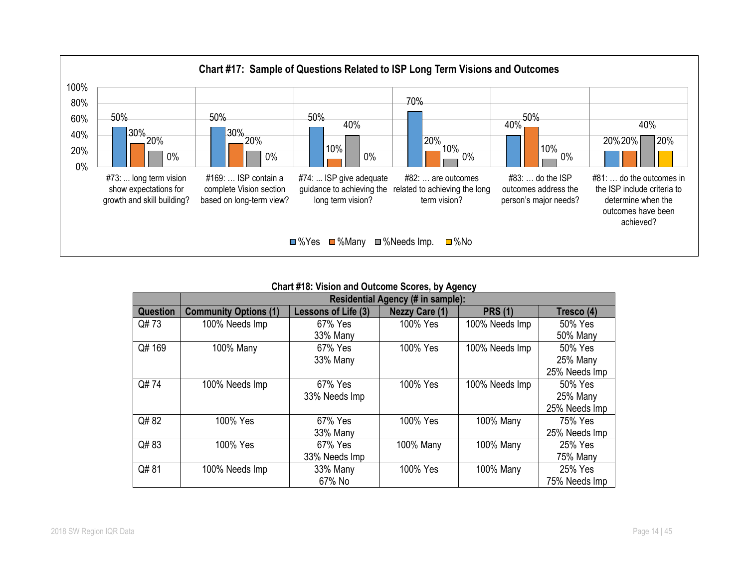

| <b>Chart #18: Vision and Outcome Scores, by Agency</b> |  |  |  |  |  |
|--------------------------------------------------------|--|--|--|--|--|
|--------------------------------------------------------|--|--|--|--|--|

|                 | <b>SHARE A TOLOH WIND SULSOING SOOTSS, BY TWONSY</b> |                     |                       |                |               |  |
|-----------------|------------------------------------------------------|---------------------|-----------------------|----------------|---------------|--|
|                 | <b>Residential Agency (# in sample):</b>             |                     |                       |                |               |  |
| <b>Question</b> | <b>Community Options (1)</b>                         | Lessons of Life (3) | <b>Nezzy Care (1)</b> | <b>PRS (1)</b> | Tresco (4)    |  |
| Q#73            | 100% Needs Imp                                       | 67% Yes             | 100% Yes              | 100% Needs Imp | 50% Yes       |  |
|                 |                                                      | 33% Many            |                       |                | 50% Many      |  |
| Q# 169          | 100% Many                                            | 67% Yes             | 100% Yes              | 100% Needs Imp | 50% Yes       |  |
|                 |                                                      | 33% Many            |                       |                | 25% Many      |  |
|                 |                                                      |                     |                       |                | 25% Needs Imp |  |
| Q#74            | 100% Needs Imp                                       | 67% Yes             | 100% Yes              | 100% Needs Imp | 50% Yes       |  |
|                 |                                                      | 33% Needs Imp       |                       |                | 25% Many      |  |
|                 |                                                      |                     |                       |                | 25% Needs Imp |  |
| Q#82            | 100% Yes                                             | 67% Yes             | 100% Yes              | 100% Many      | 75% Yes       |  |
|                 |                                                      | 33% Many            |                       |                | 25% Needs Imp |  |
| Q#83            | 100% Yes                                             | 67% Yes             | 100% Many             | 100% Many      | 25% Yes       |  |
|                 |                                                      | 33% Needs Imp       |                       |                | 75% Many      |  |
| Q#81            | 100% Needs Imp                                       | 33% Many            | 100% Yes              | 100% Many      | 25% Yes       |  |
|                 |                                                      | 67% No              |                       |                | 75% Needs Imp |  |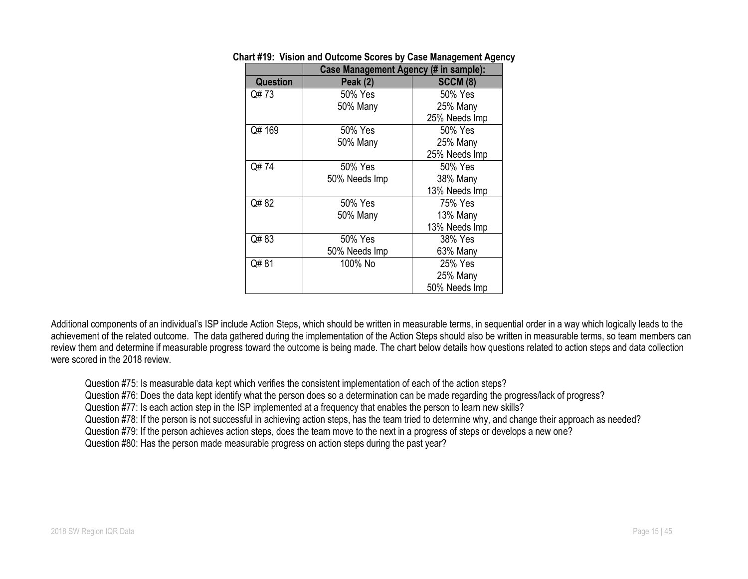|                 | <b>Case Management Agency (# in sample):</b> |                 |
|-----------------|----------------------------------------------|-----------------|
| <b>Question</b> | <b>Peak (2)</b>                              | <b>SCCM (8)</b> |
| Q#73            | 50% Yes                                      | 50% Yes         |
|                 | 50% Many                                     | 25% Many        |
|                 |                                              | 25% Needs Imp   |
| Q# 169          | 50% Yes                                      | 50% Yes         |
|                 | 50% Many                                     | 25% Many        |
|                 |                                              | 25% Needs Imp   |
| Q#74            | 50% Yes                                      | 50% Yes         |
|                 | 50% Needs Imp                                | 38% Many        |
|                 |                                              | 13% Needs Imp   |
| Q#82            | 50% Yes                                      | 75% Yes         |
|                 | 50% Many                                     | 13% Many        |
|                 |                                              | 13% Needs Imp   |
| Q#83            | 50% Yes                                      | 38% Yes         |
|                 | 50% Needs Imp                                | 63% Many        |
| Q#81            | 100% No                                      | 25% Yes         |
|                 |                                              | 25% Many        |
|                 |                                              | 50% Needs Imp   |

#### **Chart #19: Vision and Outcome Scores by Case Management Agency**

Additional components of an individual's ISP include Action Steps, which should be written in measurable terms, in sequential order in a way which logically leads to the achievement of the related outcome. The data gathered during the implementation of the Action Steps should also be written in measurable terms, so team members can review them and determine if measurable progress toward the outcome is being made. The chart below details how questions related to action steps and data collection were scored in the 2018 review.

Question #75: Is measurable data kept which verifies the consistent implementation of each of the action steps?

Question #76: Does the data kept identify what the person does so a determination can be made regarding the progress/lack of progress?

Question #77: Is each action step in the ISP implemented at a frequency that enables the person to learn new skills?

Question #78: If the person is not successful in achieving action steps, has the team tried to determine why, and change their approach as needed?

Question #79: If the person achieves action steps, does the team move to the next in a progress of steps or develops a new one?

Question #80: Has the person made measurable progress on action steps during the past year?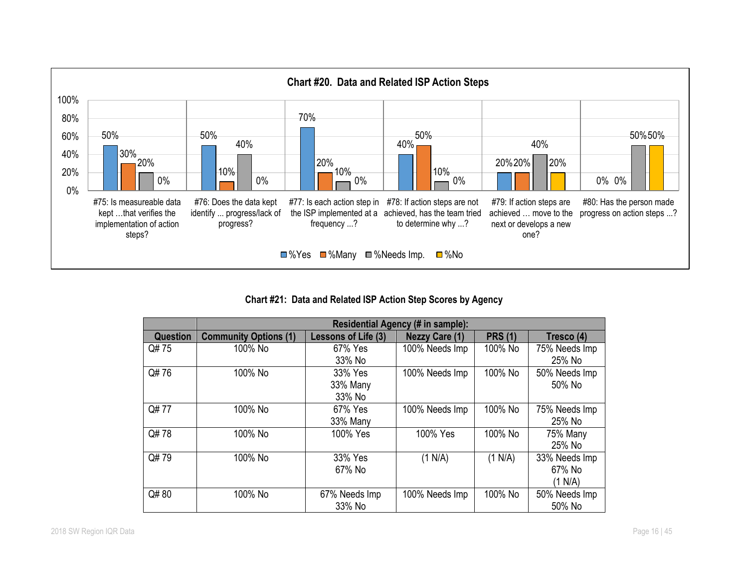

**Chart #21: Data and Related ISP Action Step Scores by Agency**

|          | <b>Residential Agency (# in sample):</b> |                     |                       |                |               |
|----------|------------------------------------------|---------------------|-----------------------|----------------|---------------|
| Question | <b>Community Options (1)</b>             | Lessons of Life (3) | <b>Nezzy Care (1)</b> | <b>PRS (1)</b> | Tresco (4)    |
| Q#75     | 100% No                                  | 67% Yes             | 100% Needs Imp        | 100% No        | 75% Needs Imp |
|          |                                          | 33% No              |                       |                | 25% No        |
| Q#76     | 100% No                                  | 33% Yes             | 100% Needs Imp        | 100% No        | 50% Needs Imp |
|          |                                          | 33% Many            |                       |                | 50% No        |
|          |                                          | 33% No              |                       |                |               |
| Q#77     | 100% No                                  | 67% Yes             | 100% Needs Imp        | 100% No        | 75% Needs Imp |
|          |                                          | 33% Many            |                       |                | 25% No        |
| Q#78     | 100% No                                  | 100% Yes            | 100% Yes              | 100% No        | 75% Many      |
|          |                                          |                     |                       |                | 25% No        |
| Q#79     | 100% No                                  | 33% Yes             | (1 N/A)               | (1 N/A)        | 33% Needs Imp |
|          |                                          | 67% No              |                       |                | 67% No        |
|          |                                          |                     |                       |                | (1 N/A)       |
| Q#80     | 100% No                                  | 67% Needs Imp       | 100% Needs Imp        | 100% No        | 50% Needs Imp |
|          |                                          | 33% No              |                       |                | 50% No        |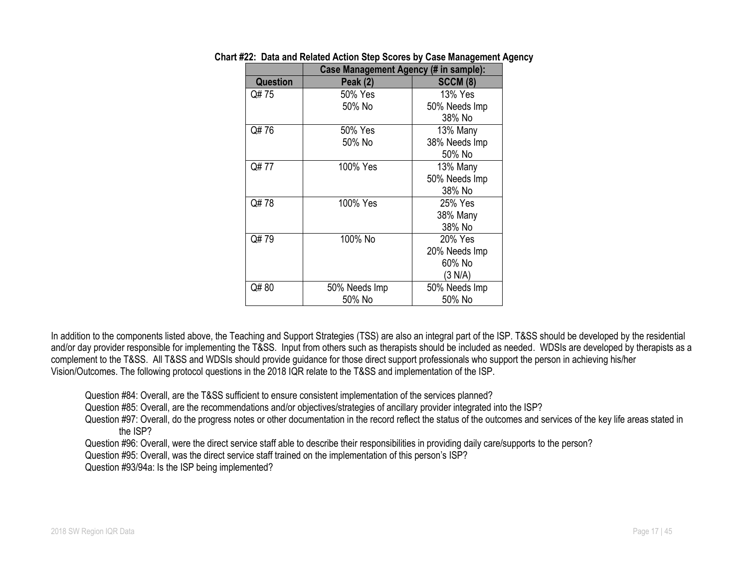|                 | Case Management Agency (# in sample): |                 |  |  |
|-----------------|---------------------------------------|-----------------|--|--|
| <b>Question</b> | <b>Peak (2)</b>                       | <b>SCCM (8)</b> |  |  |
| Q# 75           | 50% Yes                               | 13% Yes         |  |  |
|                 | 50% No                                | 50% Needs Imp   |  |  |
|                 |                                       | 38% No          |  |  |
| Q#76            | 50% Yes                               | 13% Many        |  |  |
|                 | 50% No                                | 38% Needs Imp   |  |  |
|                 |                                       | 50% No          |  |  |
| Q# 77           | 100% Yes                              | 13% Many        |  |  |
|                 |                                       | 50% Needs Imp   |  |  |
|                 |                                       | 38% No          |  |  |
| Q#78            | 100% Yes                              | 25% Yes         |  |  |
|                 |                                       | 38% Many        |  |  |
|                 |                                       | 38% No          |  |  |
| Q#79            | 100% No                               | 20% Yes         |  |  |
|                 |                                       | 20% Needs Imp   |  |  |
|                 |                                       | 60% No          |  |  |
|                 |                                       | (3 N/A)         |  |  |
| Q#80            | 50% Needs Imp                         | 50% Needs Imp   |  |  |
|                 | 50% No                                | 50% No          |  |  |

#### **Chart #22: Data and Related Action Step Scores by Case Management Agency**

In addition to the components listed above, the Teaching and Support Strategies (TSS) are also an integral part of the ISP. T&SS should be developed by the residential and/or day provider responsible for implementing the T&SS. Input from others such as therapists should be included as needed. WDSIs are developed by therapists as a complement to the T&SS. All T&SS and WDSIs should provide guidance for those direct support professionals who support the person in achieving his/her Vision/Outcomes. The following protocol questions in the 2018 IQR relate to the T&SS and implementation of the ISP.

Question #84: Overall, are the T&SS sufficient to ensure consistent implementation of the services planned?

Question #85: Overall, are the recommendations and/or objectives/strategies of ancillary provider integrated into the ISP?

Question #97: Overall, do the progress notes or other documentation in the record reflect the status of the outcomes and services of the key life areas stated in the ISP?

Question #96: Overall, were the direct service staff able to describe their responsibilities in providing daily care/supports to the person?

Question #95: Overall, was the direct service staff trained on the implementation of this person's ISP?

Question #93/94a: Is the ISP being implemented?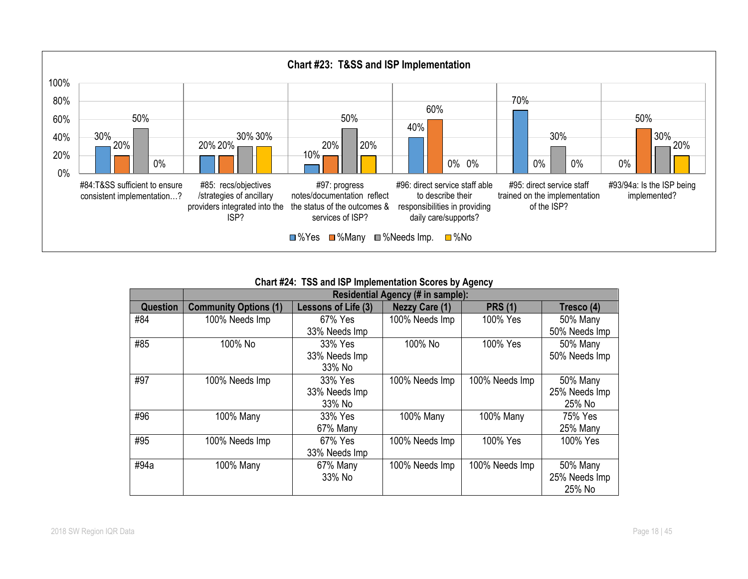

**Chart #24: TSS and ISP Implementation Scores by Agency**

| $\frac{1}{2}$<br>Residential Agency (# in sample): |                              |                     |                       |                |                 |  |
|----------------------------------------------------|------------------------------|---------------------|-----------------------|----------------|-----------------|--|
|                                                    |                              |                     |                       |                |                 |  |
| Question                                           | <b>Community Options (1)</b> | Lessons of Life (3) | <b>Nezzy Care (1)</b> | <b>PRS (1)</b> | Tresco (4)      |  |
| #84                                                | 100% Needs Imp               | 67% Yes             | 100% Needs Imp        | 100% Yes       | 50% Many        |  |
|                                                    |                              | 33% Needs Imp       |                       |                | 50% Needs Imp   |  |
| #85                                                | 100% No                      | 33% Yes             | 100% No               | 100% Yes       | 50% Many        |  |
|                                                    |                              | 33% Needs Imp       |                       |                | 50% Needs Imp   |  |
|                                                    |                              | 33% No              |                       |                |                 |  |
| #97                                                | 100% Needs Imp               | 33% Yes             | 100% Needs Imp        | 100% Needs Imp | <b>50% Many</b> |  |
|                                                    |                              | 33% Needs Imp       |                       |                | 25% Needs Imp   |  |
|                                                    |                              | 33% No              |                       |                | 25% No          |  |
| #96                                                | 100% Many                    | 33% Yes             | 100% Many             | 100% Many      | 75% Yes         |  |
|                                                    |                              | 67% Many            |                       |                | 25% Many        |  |
| #95                                                | 100% Needs Imp               | 67% Yes             | 100% Needs Imp        | 100% Yes       | 100% Yes        |  |
|                                                    |                              | 33% Needs Imp       |                       |                |                 |  |
| #94a                                               | 100% Many                    | 67% Many            | 100% Needs Imp        | 100% Needs Imp | 50% Many        |  |
|                                                    |                              | 33% No              |                       |                | 25% Needs Imp   |  |
|                                                    |                              |                     |                       |                | 25% No          |  |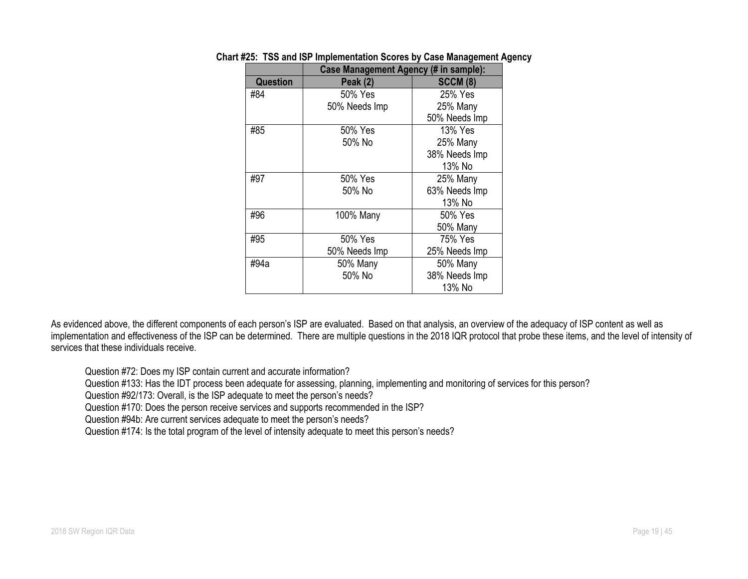|                 | <b>Case Management Agency (# in sample):</b> |                 |  |  |
|-----------------|----------------------------------------------|-----------------|--|--|
| <b>Question</b> | <b>Peak (2)</b>                              | <b>SCCM (8)</b> |  |  |
| #84             | 50% Yes                                      | 25% Yes         |  |  |
|                 | 50% Needs Imp                                | 25% Many        |  |  |
|                 |                                              | 50% Needs Imp   |  |  |
| #85             | 50% Yes                                      | 13% Yes         |  |  |
|                 | 50% No                                       | 25% Many        |  |  |
|                 |                                              | 38% Needs Imp   |  |  |
|                 |                                              | 13% No          |  |  |
| #97             | 50% Yes                                      | 25% Many        |  |  |
|                 | 50% No                                       | 63% Needs Imp   |  |  |
|                 |                                              | 13% No          |  |  |
| #96             | 100% Many                                    | 50% Yes         |  |  |
|                 |                                              | 50% Many        |  |  |
| #95             | 50% Yes                                      | 75% Yes         |  |  |
|                 | 50% Needs Imp                                | 25% Needs Imp   |  |  |
| #94a            | 50% Many                                     | 50% Many        |  |  |
|                 | 50% No                                       | 38% Needs Imp   |  |  |
|                 |                                              | 13% No          |  |  |

#### **Chart #25: TSS and ISP Implementation Scores by Case Management Agency**

As evidenced above, the different components of each person's ISP are evaluated. Based on that analysis, an overview of the adequacy of ISP content as well as implementation and effectiveness of the ISP can be determined. There are multiple questions in the 2018 IQR protocol that probe these items, and the level of intensity of services that these individuals receive.

Question #72: Does my ISP contain current and accurate information?

Question #133: Has the IDT process been adequate for assessing, planning, implementing and monitoring of services for this person?

Question #92/173: Overall, is the ISP adequate to meet the person's needs?

Question #170: Does the person receive services and supports recommended in the ISP?

Question #94b: Are current services adequate to meet the person's needs?

Question #174: Is the total program of the level of intensity adequate to meet this person's needs?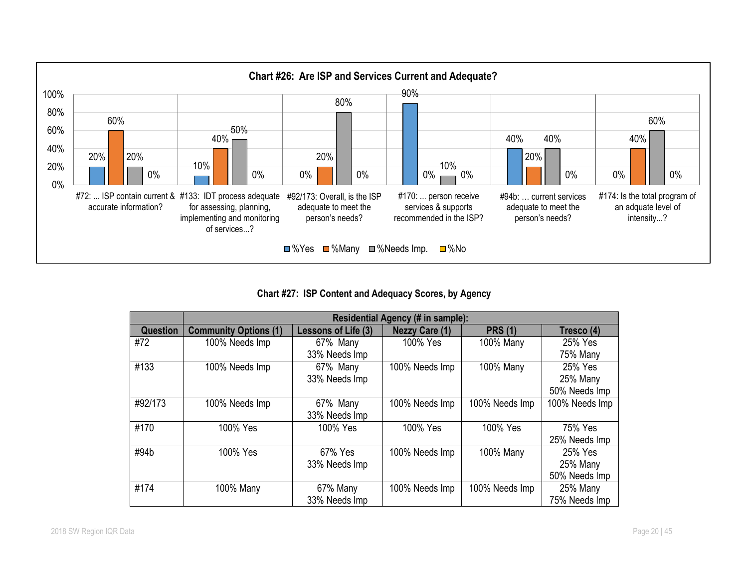

**Chart #27: ISP Content and Adequacy Scores, by Agency**

|                 | <b>Residential Agency (# in sample):</b> |                     |                       |                |                |  |
|-----------------|------------------------------------------|---------------------|-----------------------|----------------|----------------|--|
| <b>Question</b> | <b>Community Options (1)</b>             | Lessons of Life (3) | <b>Nezzy Care (1)</b> | <b>PRS (1)</b> | Tresco (4)     |  |
| #72             | 100% Needs Imp                           | 67% Many            | 100% Yes              | 100% Many      | 25% Yes        |  |
|                 |                                          | 33% Needs Imp       |                       |                | 75% Many       |  |
| #133            | 100% Needs Imp                           | 67% Many            | 100% Needs Imp        | 100% Many      | 25% Yes        |  |
|                 |                                          | 33% Needs Imp       |                       |                | 25% Many       |  |
|                 |                                          |                     |                       |                | 50% Needs Imp  |  |
| #92/173         | 100% Needs Imp                           | 67% Many            | 100% Needs Imp        | 100% Needs Imp | 100% Needs Imp |  |
|                 |                                          | 33% Needs Imp       |                       |                |                |  |
| #170            | 100% Yes                                 | 100% Yes            | 100% Yes              | 100% Yes       | 75% Yes        |  |
|                 |                                          |                     |                       |                | 25% Needs Imp  |  |
| #94b            | 100% Yes                                 | 67% Yes             | 100% Needs Imp        | 100% Many      | 25% Yes        |  |
|                 |                                          | 33% Needs Imp       |                       |                | 25% Many       |  |
|                 |                                          |                     |                       |                | 50% Needs Imp  |  |
| #174            | 100% Many                                | 67% Many            | 100% Needs Imp        | 100% Needs Imp | 25% Many       |  |
|                 |                                          | 33% Needs Imp       |                       |                | 75% Needs Imp  |  |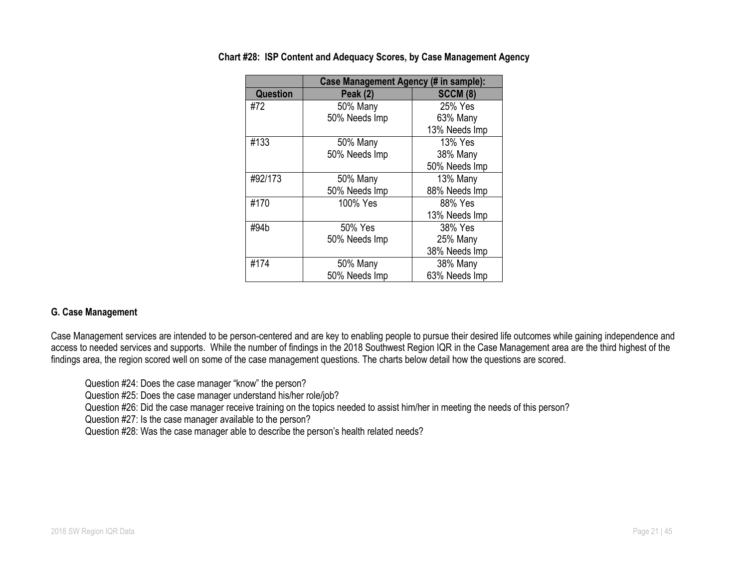|                 | Case Management Agency (# in sample): |                 |
|-----------------|---------------------------------------|-----------------|
| <b>Question</b> | Peak (2)                              | <b>SCCM (8)</b> |
| #72             | 50% Many                              | 25% Yes         |
|                 | 50% Needs Imp                         | 63% Many        |
|                 |                                       | 13% Needs Imp   |
| #133            | 50% Many                              | 13% Yes         |
|                 | 50% Needs Imp                         | 38% Many        |
|                 |                                       | 50% Needs Imp   |
| #92/173         | <b>50% Many</b>                       | 13% Many        |
|                 | 50% Needs Imp                         | 88% Needs Imp   |
| #170            | 100% Yes                              | 88% Yes         |
|                 |                                       | 13% Needs Imp   |
| #94b            | 50% Yes                               | 38% Yes         |
|                 | 50% Needs Imp                         | 25% Many        |
|                 |                                       | 38% Needs Imp   |
| #174            | 50% Many                              | 38% Many        |
|                 | 50% Needs Imp                         | 63% Needs Imp   |

**Chart #28: ISP Content and Adequacy Scores, by Case Management Agency**

# **G. Case Management**

Case Management services are intended to be person-centered and are key to enabling people to pursue their desired life outcomes while gaining independence and access to needed services and supports. While the number of findings in the 2018 Southwest Region IQR in the Case Management area are the third highest of the findings area, the region scored well on some of the case management questions. The charts below detail how the questions are scored.

Question #24: Does the case manager "know" the person?

Question #25: Does the case manager understand his/her role/job?

Question #26: Did the case manager receive training on the topics needed to assist him/her in meeting the needs of this person?

Question #27: Is the case manager available to the person?

Question #28: Was the case manager able to describe the person's health related needs?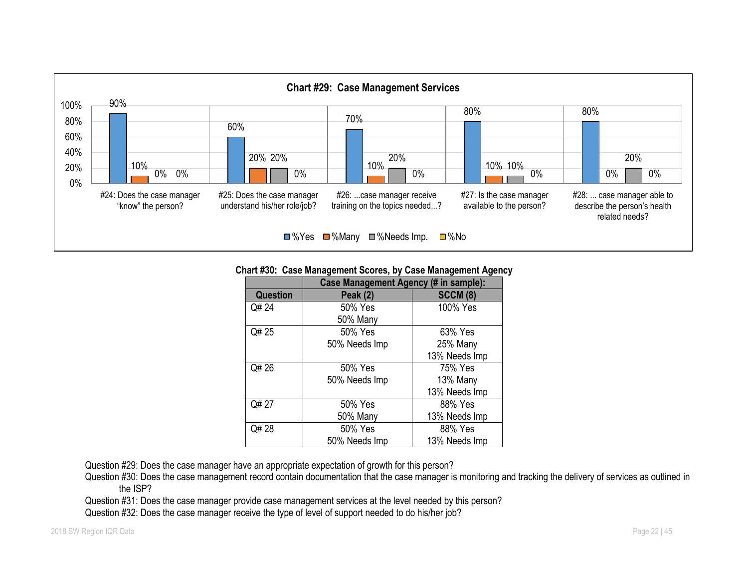

#### **Chart #30: Case Management Scores, by Case Management Agency**

|                 | Case Management Agency (# in sample): |                 |
|-----------------|---------------------------------------|-----------------|
| <b>Question</b> | <b>Peak (2)</b>                       | <b>SCCM (8)</b> |
| Q# 24           | 50% Yes                               | 100% Yes        |
|                 | <b>50% Many</b>                       |                 |
| Q# 25           | 50% Yes                               | 63% Yes         |
|                 | 50% Needs Imp                         | 25% Many        |
|                 |                                       | 13% Needs Imp   |
| Q# 26           | 50% Yes                               | 75% Yes         |
|                 | 50% Needs Imp                         | 13% Many        |
|                 |                                       | 13% Needs Imp   |
| Q# 27           | 50% Yes                               | 88% Yes         |
|                 | <b>50% Many</b>                       | 13% Needs Imp   |
| Q# 28           | 50% Yes                               | 88% Yes         |
|                 | 50% Needs Imp                         | 13% Needs Imp   |

Question #29: Does the case manager have an appropriate expectation of growth for this person?

Question #30: Does the case management record contain documentation that the case manager is monitoring and tracking the delivery of services as outlined in the ISP?

Question #31: Does the case manager provide case management services at the level needed by this person?

Question #32: Does the case manager receive the type of level of support needed to do his/her job?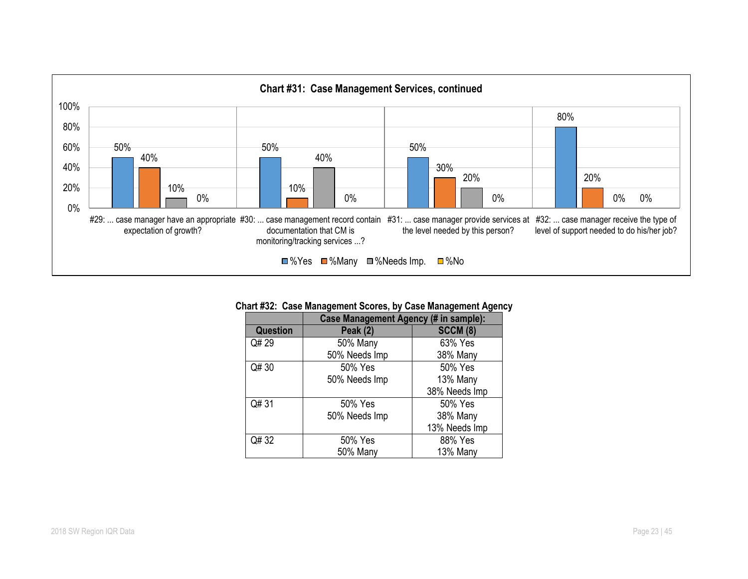

#### **Chart #32: Case Management Scores, by Case Management Agency**

|                 | Case Management Agency (# in sample): |                 |  |  |
|-----------------|---------------------------------------|-----------------|--|--|
| <b>Question</b> | <b>Peak (2)</b>                       | <b>SCCM (8)</b> |  |  |
| Q# 29           | <b>50% Many</b>                       | 63% Yes         |  |  |
|                 | 50% Needs Imp                         | 38% Many        |  |  |
| Q# 30           | 50% Yes                               | 50% Yes         |  |  |
|                 | 50% Needs Imp                         | 13% Many        |  |  |
|                 |                                       | 38% Needs Imp   |  |  |
| Q# 31           | 50% Yes                               | 50% Yes         |  |  |
|                 | 50% Needs Imp                         | 38% Many        |  |  |
|                 |                                       | 13% Needs Imp   |  |  |
| Q# 32           | 50% Yes                               | 88% Yes         |  |  |
|                 | 50% Many                              | 13% Many        |  |  |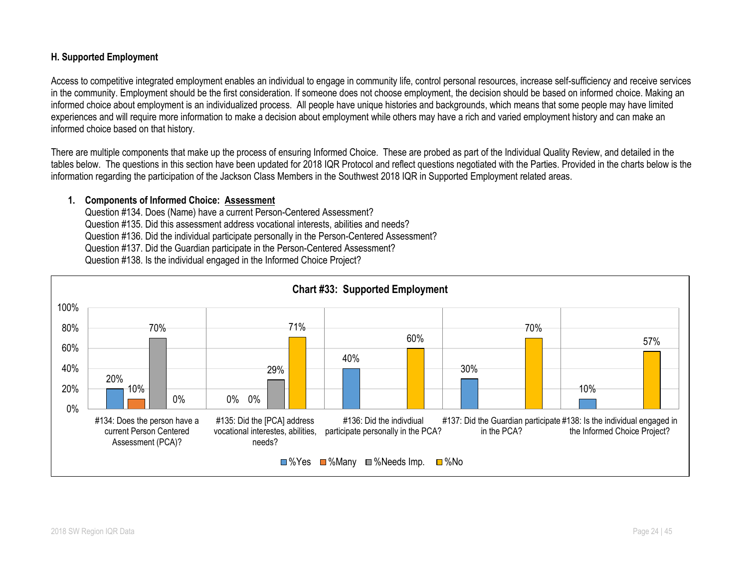## **H. Supported Employment**

Access to competitive integrated employment enables an individual to engage in community life, control personal resources, increase self-sufficiency and receive services in the community. Employment should be the first consideration. If someone does not choose employment, the decision should be based on informed choice. Making an informed choice about employment is an individualized process. All people have unique histories and backgrounds, which means that some people may have limited experiences and will require more information to make a decision about employment while others may have a rich and varied employment history and can make an informed choice based on that history.

There are multiple components that make up the process of ensuring Informed Choice. These are probed as part of the Individual Quality Review, and detailed in the tables below. The questions in this section have been updated for 2018 IQR Protocol and reflect questions negotiated with the Parties. Provided in the charts below is the information regarding the participation of the Jackson Class Members in the Southwest 2018 IQR in Supported Employment related areas.

#### **1. Components of Informed Choice: Assessment**

Question #134. Does (Name) have a current Person-Centered Assessment? Question #135. Did this assessment address vocational interests, abilities and needs? Question #136. Did the individual participate personally in the Person-Centered Assessment? Question #137. Did the Guardian participate in the Person-Centered Assessment? Question #138. Is the individual engaged in the Informed Choice Project?

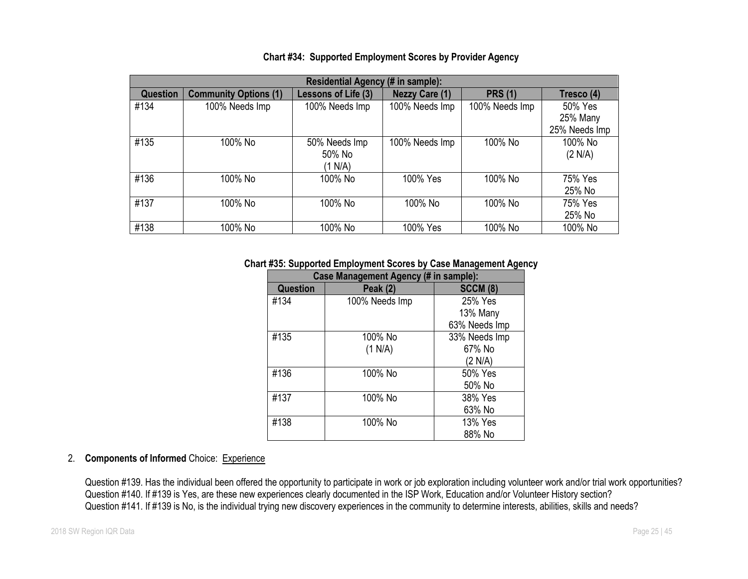| Residential Agency (# in sample): |                              |                     |                       |                |               |
|-----------------------------------|------------------------------|---------------------|-----------------------|----------------|---------------|
| <b>Question</b>                   | <b>Community Options (1)</b> | Lessons of Life (3) | <b>Nezzy Care (1)</b> | <b>PRS (1)</b> | Tresco (4)    |
| #134                              | 100% Needs Imp               | 100% Needs Imp      | 100% Needs Imp        | 100% Needs Imp | 50% Yes       |
|                                   |                              |                     |                       |                | 25% Many      |
|                                   |                              |                     |                       |                | 25% Needs Imp |
| #135                              | 100% No                      | 50% Needs Imp       | 100% Needs Imp        | 100% No        | 100% No       |
|                                   |                              | 50% No              |                       |                | (2 N/A)       |
|                                   |                              | (1 N/A)             |                       |                |               |
| #136                              | 100% No                      | 100% No             | 100% Yes              | 100% No        | 75% Yes       |
|                                   |                              |                     |                       |                | 25% No        |
| #137                              | 100% No                      | 100% No             | 100% No               | 100% No        | 75% Yes       |
|                                   |                              |                     |                       |                | 25% No        |
| #138                              | 100% No                      | 100% No             | 100% Yes              | 100% No        | 100% No       |

## **Chart #34: Supported Employment Scores by Provider Agency**

**Chart #35: Supported Employment Scores by Case Management Agency**

| <b>Case Management Agency (# in sample):</b> |                 |                 |  |  |
|----------------------------------------------|-----------------|-----------------|--|--|
| <b>Question</b>                              | <b>Peak (2)</b> | <b>SCCM (8)</b> |  |  |
| #134                                         | 100% Needs Imp  | 25% Yes         |  |  |
|                                              |                 | 13% Many        |  |  |
|                                              |                 | 63% Needs Imp   |  |  |
| #135                                         | 100% No         | 33% Needs Imp   |  |  |
|                                              | (1 N/A)         | 67% No          |  |  |
|                                              |                 | (2 N/A)         |  |  |
| #136                                         | 100% No         | 50% Yes         |  |  |
|                                              |                 | 50% No          |  |  |
| #137                                         | 100% No         | 38% Yes         |  |  |
|                                              |                 | 63% No          |  |  |
| #138                                         | 100% No         | 13% Yes         |  |  |
|                                              |                 | 88% No          |  |  |

# 2. **Components of Informed** Choice: Experience

Question #139. Has the individual been offered the opportunity to participate in work or job exploration including volunteer work and/or trial work opportunities? Question #140. If #139 is Yes, are these new experiences clearly documented in the ISP Work, Education and/or Volunteer History section? Question #141. If #139 is No, is the individual trying new discovery experiences in the community to determine interests, abilities, skills and needs?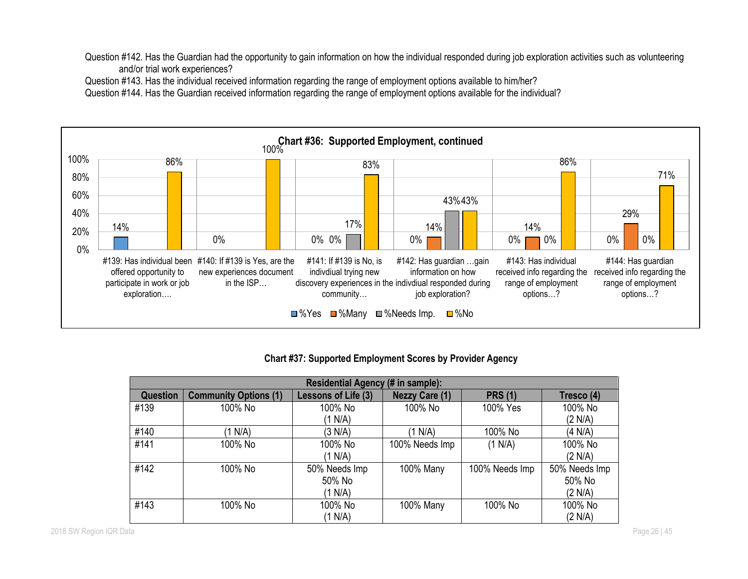Question #142. Has the Guardian had the opportunity to gain information on how the individual responded during job exploration activities such as volunteering and/or trial work experiences?

Question #143. Has the individual received information regarding the range of employment options available to him/her?

Question #144. Has the Guardian received information regarding the range of employment options available for the individual?



# **Chart #37: Supported Employment Scores by Provider Agency**

| Residential Agency (# in sample): |                              |                     |                       |                |               |
|-----------------------------------|------------------------------|---------------------|-----------------------|----------------|---------------|
| <b>Question</b>                   | <b>Community Options (1)</b> | Lessons of Life (3) | <b>Nezzy Care (1)</b> | <b>PRS (1)</b> | Tresco (4)    |
| #139                              | 100% No                      | 100% No             | 100% No               | 100% Yes       | 100% No       |
|                                   |                              | (1 N/A)             |                       |                | (2 N/A)       |
| #140                              | (1 N/A)                      | (3 N/A)             | (1 N/A)               | 100% No        | (4 N/A)       |
| #141                              | 100% No                      | 100% No             | 100% Needs Imp        | (1 N/A)        | 100% No       |
|                                   |                              | (1 N/A)             |                       |                | (2 N/A)       |
| #142                              | 100% No                      | 50% Needs Imp       | 100% Many             | 100% Needs Imp | 50% Needs Imp |
|                                   |                              | 50% No              |                       |                | 50% No        |
|                                   |                              | (1 N/A)             |                       |                | (2 N/A)       |
| #143                              | 100% No                      | 100% No             | 100% Many             | 100% No        | 100% No       |
|                                   |                              | (1 N/A)             |                       |                | (2 N/A)       |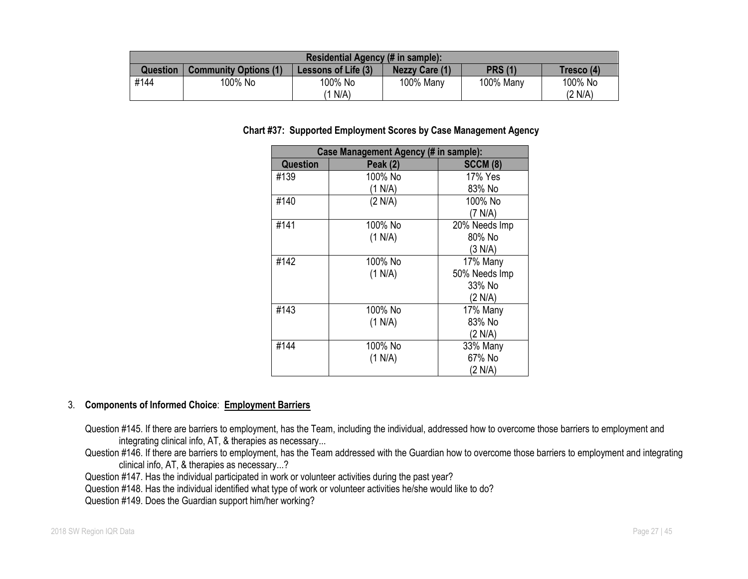| Residential Agency (# in sample): |                              |                     |                       |                |            |
|-----------------------------------|------------------------------|---------------------|-----------------------|----------------|------------|
| <b>Question</b>                   | <b>Community Options (1)</b> | Lessons of Life (3) | <b>Nezzy Care (1)</b> | <b>PRS (1)</b> | Tresco (4) |
| #144                              | 100% No                      | 100% No             | 100% Many             | 100% Many      | 100% No    |
|                                   |                              | N/A                 |                       |                | (2 N/A)    |

## **Chart #37: Supported Employment Scores by Case Management Agency**

| <b>Case Management Agency (# in sample):</b> |                 |                 |  |  |
|----------------------------------------------|-----------------|-----------------|--|--|
| <b>Question</b>                              | <b>Peak (2)</b> | <b>SCCM (8)</b> |  |  |
| #139                                         | 100% No         | 17% Yes         |  |  |
|                                              | (1 N/A)         | 83% No          |  |  |
| #140                                         | (2 N/A)         | 100% No         |  |  |
|                                              |                 | (7 N/A)         |  |  |
| #141                                         | 100% No         | 20% Needs Imp   |  |  |
|                                              | (1 N/A)         | 80% No          |  |  |
|                                              |                 | (3 N/A)         |  |  |
| #142                                         | 100% No         | 17% Many        |  |  |
|                                              | (1 N/A)         | 50% Needs Imp   |  |  |
|                                              |                 | 33% No          |  |  |
|                                              |                 | (2 N/A)         |  |  |
| #143                                         | 100% No         | 17% Many        |  |  |
|                                              | (1 N/A)         | 83% No          |  |  |
|                                              |                 | (2 N/A)         |  |  |
| #144                                         | 100% No         | 33% Many        |  |  |
|                                              | (1 N/A)         | 67% No          |  |  |
|                                              |                 | (2 N/A)         |  |  |

## 3. **Components of Informed Choice**: **Employment Barriers**

Question #145. If there are barriers to employment, has the Team, including the individual, addressed how to overcome those barriers to employment and integrating clinical info, AT, & therapies as necessary...

Question #146. If there are barriers to employment, has the Team addressed with the Guardian how to overcome those barriers to employment and integrating clinical info, AT, & therapies as necessary...?

Question #147. Has the individual participated in work or volunteer activities during the past year?

Question #148. Has the individual identified what type of work or volunteer activities he/she would like to do?

Question #149. Does the Guardian support him/her working?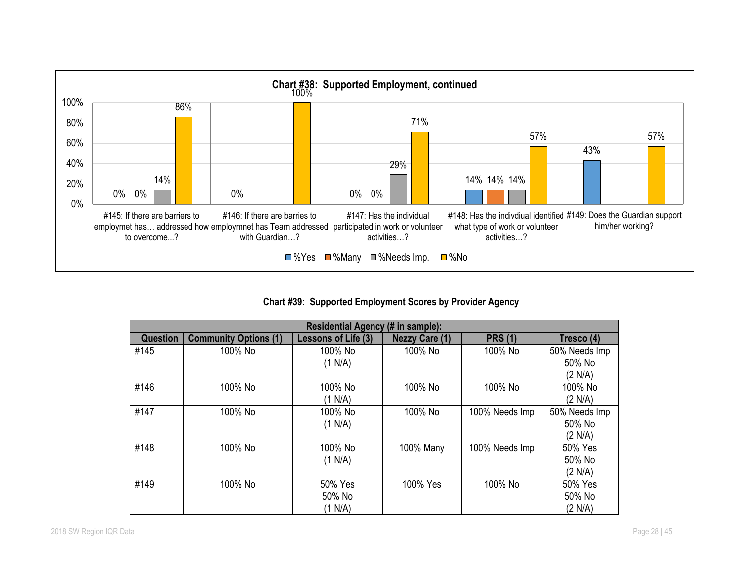

**Chart #39: Supported Employment Scores by Provider Agency**

| <b>Residential Agency (# in sample):</b> |                              |                     |                       |                |               |
|------------------------------------------|------------------------------|---------------------|-----------------------|----------------|---------------|
| <b>Question</b>                          | <b>Community Options (1)</b> | Lessons of Life (3) | <b>Nezzy Care (1)</b> | <b>PRS (1)</b> | Tresco (4)    |
| #145                                     | 100% No                      | 100% No             | 100% No               | 100% No        | 50% Needs Imp |
|                                          |                              | (1 N/A)             |                       |                | 50% No        |
|                                          |                              |                     |                       |                | (2 N/A)       |
| #146                                     | 100% No                      | 100% No             | 100% No               | 100% No        | 100% No       |
|                                          |                              | (1 N/A)             |                       |                | (2 N/A)       |
| #147                                     | 100% No                      | 100% No             | 100% No               | 100% Needs Imp | 50% Needs Imp |
|                                          |                              | (1 N/A)             |                       |                | 50% No        |
|                                          |                              |                     |                       |                | (2 N/A)       |
| #148                                     | 100% No                      | 100% No             | 100% Many             | 100% Needs Imp | 50% Yes       |
|                                          |                              | (1 N/A)             |                       |                | 50% No        |
|                                          |                              |                     |                       |                | (2 N/A)       |
| #149                                     | 100% No                      | 50% Yes             | 100% Yes              | 100% No        | 50% Yes       |
|                                          |                              | 50% No              |                       |                | 50% No        |
|                                          |                              | (1 N/A)             |                       |                | (2 N/A)       |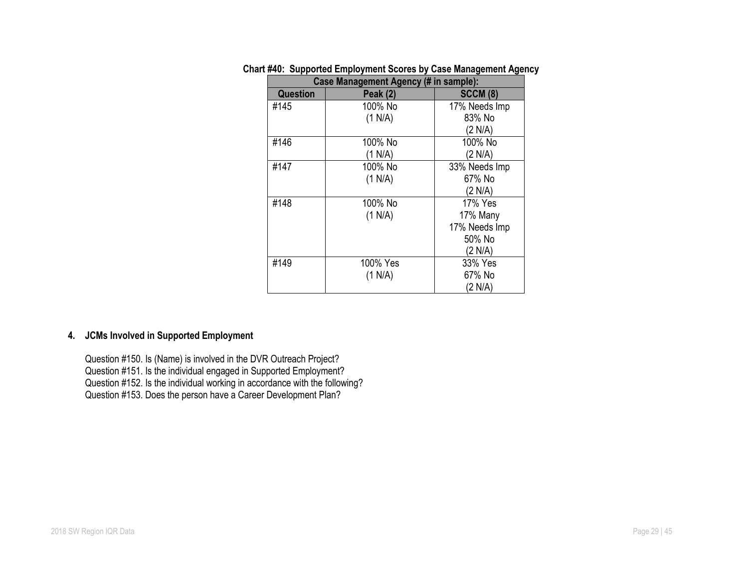| Case Management Agency (# in sample): |                 |                 |  |  |
|---------------------------------------|-----------------|-----------------|--|--|
| <b>Question</b>                       | <b>Peak (2)</b> | <b>SCCM (8)</b> |  |  |
| #145                                  | 100% No         | 17% Needs Imp   |  |  |
|                                       | (1 N/A)         | 83% No          |  |  |
|                                       |                 | (2 N/A)         |  |  |
| #146                                  | 100% No         | 100% No         |  |  |
|                                       | (1 N/A)         | (2 N/A)         |  |  |
| #147                                  | 100% No         | 33% Needs Imp   |  |  |
|                                       | (1 N/A)         | 67% No          |  |  |
|                                       |                 | (2 N/A)         |  |  |
| #148                                  | 100% No         | 17% Yes         |  |  |
|                                       | (1 N/A)         | 17% Many        |  |  |
|                                       |                 | 17% Needs Imp   |  |  |
|                                       |                 | 50% No          |  |  |
|                                       |                 | (2 N/A)         |  |  |
| #149                                  | 100% Yes        | 33% Yes         |  |  |
|                                       | (1 N/A)         | 67% No          |  |  |
|                                       |                 | (2 N/A)         |  |  |

# **Chart #40: Supported Employment Scores by Case Management Agency**

# **4. JCMs Involved in Supported Employment**

Question #150. Is (Name) is involved in the DVR Outreach Project? Question #151. Is the individual engaged in Supported Employment? Question #152. Is the individual working in accordance with the following? Question #153. Does the person have a Career Development Plan?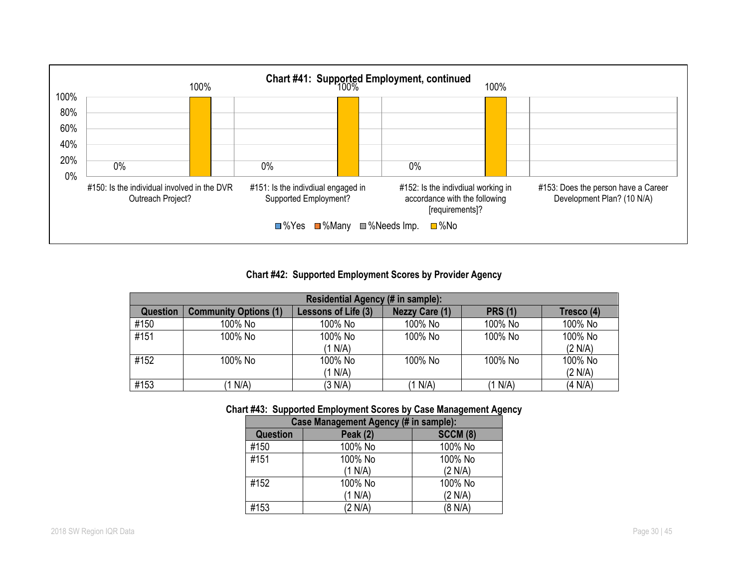

## **Chart #42: Supported Employment Scores by Provider Agency**

| Residential Agency (# in sample): |                              |                     |                       |                |            |
|-----------------------------------|------------------------------|---------------------|-----------------------|----------------|------------|
| <b>Question</b>                   | <b>Community Options (1)</b> | Lessons of Life (3) | <b>Nezzy Care (1)</b> | <b>PRS (1)</b> | Tresco (4) |
| #150                              | 100% No                      | 100% No             | 100% No               | 100% No        | 100% No    |
| #151                              | 100% No                      | 100% No             | 100% No               | 100% No        | 100% No    |
|                                   |                              | (1 N/A)             |                       |                | (2 N/A)    |
| #152                              | 100% No                      | 100% No             | 100% No               | 100% No        | 100% No    |
|                                   |                              | (1 N/A)             |                       |                | (2 N/A)    |
| #153                              | (1 N/A)                      | (3 N/A)             | (1 N/A)               | (1 N/A)        | (4 N/A)    |

## **Chart #43: Supported Employment Scores by Case Management Agency**

| Case Management Agency (# in sample): |                 |                 |  |  |
|---------------------------------------|-----------------|-----------------|--|--|
| <b>Question</b>                       | <b>Peak (2)</b> | <b>SCCM (8)</b> |  |  |
| #150                                  | 100% No         | 100% No         |  |  |
| #151                                  | 100% No         | 100% No         |  |  |
|                                       | (1 N/A)         | (2 N/A)         |  |  |
| #152                                  | 100% No         | 100% No         |  |  |
|                                       | (1 N/A)         | (2 N/A)         |  |  |
| #153                                  | (2 N/A)         | (8 N/A)         |  |  |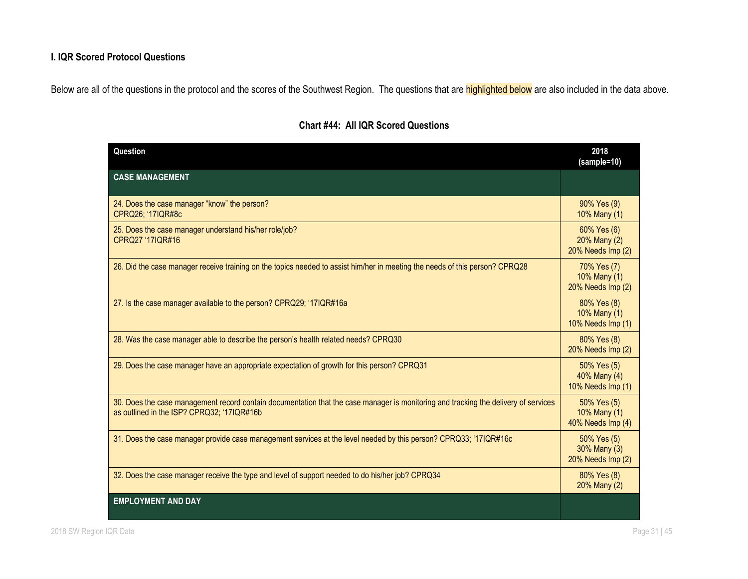# **I. IQR Scored Protocol Questions**

Below are all of the questions in the protocol and the scores of the Southwest Region. The questions that are **highlighted below** are also included in the data above.

| Question                                                                                                                                                                          | 2018<br>(sample=10)                              |
|-----------------------------------------------------------------------------------------------------------------------------------------------------------------------------------|--------------------------------------------------|
| <b>CASE MANAGEMENT</b>                                                                                                                                                            |                                                  |
| 24. Does the case manager "know" the person?<br>CPRQ26; '17IQR#8c                                                                                                                 | 90% Yes (9)<br>10% Many (1)                      |
| 25. Does the case manager understand his/her role/job?<br>CPRQ27 '17IQR#16                                                                                                        | 60% Yes (6)<br>20% Many (2)<br>20% Needs Imp (2) |
| 26. Did the case manager receive training on the topics needed to assist him/her in meeting the needs of this person? CPRQ28                                                      | 70% Yes (7)<br>10% Many (1)<br>20% Needs Imp (2) |
| 27. Is the case manager available to the person? CPRQ29; '17IQR#16a                                                                                                               | 80% Yes (8)<br>10% Many (1)<br>10% Needs Imp (1) |
| 28. Was the case manager able to describe the person's health related needs? CPRQ30                                                                                               | 80% Yes (8)<br>20% Needs Imp (2)                 |
| 29. Does the case manager have an appropriate expectation of growth for this person? CPRQ31                                                                                       | 50% Yes (5)<br>40% Many (4)<br>10% Needs Imp (1) |
| 30. Does the case management record contain documentation that the case manager is monitoring and tracking the delivery of services<br>as outlined in the ISP? CPRQ32; '17IQR#16b | 50% Yes (5)<br>10% Many (1)<br>40% Needs Imp (4) |
| 31. Does the case manager provide case management services at the level needed by this person? CPRQ33; '17IQR#16c                                                                 | 50% Yes (5)<br>30% Many (3)<br>20% Needs Imp (2) |
| 32. Does the case manager receive the type and level of support needed to do his/her job? CPRQ34                                                                                  | 80% Yes (8)<br>20% Many (2)                      |
| <b>EMPLOYMENT AND DAY</b>                                                                                                                                                         |                                                  |

# **Chart #44: All IQR Scored Questions**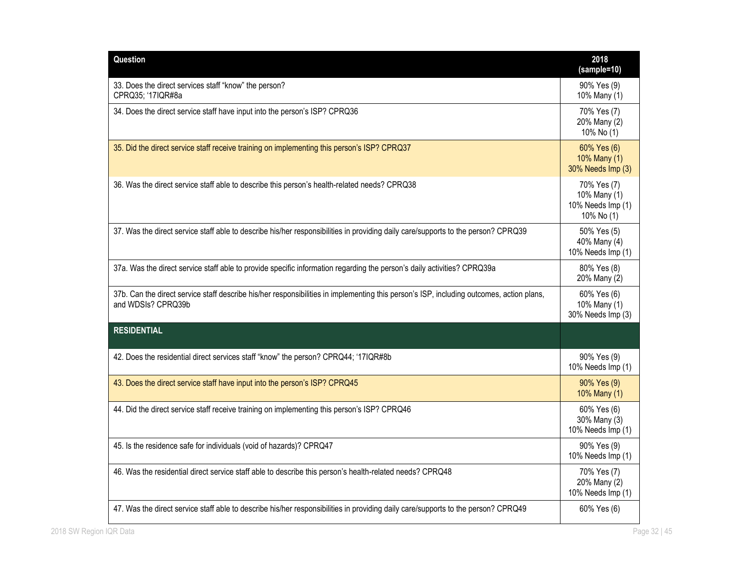| Question                                                                                                                                                       | 2018<br>(sample=10)                                            |
|----------------------------------------------------------------------------------------------------------------------------------------------------------------|----------------------------------------------------------------|
| 33. Does the direct services staff "know" the person?<br>CPRQ35; '17IQR#8a                                                                                     | 90% Yes (9)<br>10% Many (1)                                    |
| 34. Does the direct service staff have input into the person's ISP? CPRQ36                                                                                     | 70% Yes (7)<br>20% Many (2)<br>10% No (1)                      |
| 35. Did the direct service staff receive training on implementing this person's ISP? CPRQ37                                                                    | 60% Yes (6)<br>10% Many (1)<br>30% Needs Imp (3)               |
| 36. Was the direct service staff able to describe this person's health-related needs? CPRQ38                                                                   | 70% Yes (7)<br>10% Many (1)<br>10% Needs Imp (1)<br>10% No (1) |
| 37. Was the direct service staff able to describe his/her responsibilities in providing daily care/supports to the person? CPRQ39                              | 50% Yes (5)<br>40% Many (4)<br>10% Needs Imp (1)               |
| 37a. Was the direct service staff able to provide specific information regarding the person's daily activities? CPRQ39a                                        | 80% Yes (8)<br>20% Many (2)                                    |
| 37b. Can the direct service staff describe his/her responsibilities in implementing this person's ISP, including outcomes, action plans,<br>and WDSIs? CPRQ39b | 60% Yes (6)<br>10% Many (1)<br>30% Needs Imp (3)               |
| <b>RESIDENTIAL</b>                                                                                                                                             |                                                                |
| 42. Does the residential direct services staff "know" the person? CPRQ44; '17IQR#8b                                                                            | 90% Yes (9)<br>10% Needs Imp (1)                               |
| 43. Does the direct service staff have input into the person's ISP? CPRQ45                                                                                     | 90% Yes (9)<br>10% Many (1)                                    |
| 44. Did the direct service staff receive training on implementing this person's ISP? CPRQ46                                                                    | 60% Yes (6)<br>30% Many (3)<br>10% Needs Imp (1)               |
| 45. Is the residence safe for individuals (void of hazards)? CPRQ47                                                                                            | 90% Yes (9)<br>10% Needs Imp (1)                               |
| 46. Was the residential direct service staff able to describe this person's health-related needs? CPRQ48                                                       | 70% Yes (7)<br>20% Many (2)<br>10% Needs Imp (1)               |
|                                                                                                                                                                |                                                                |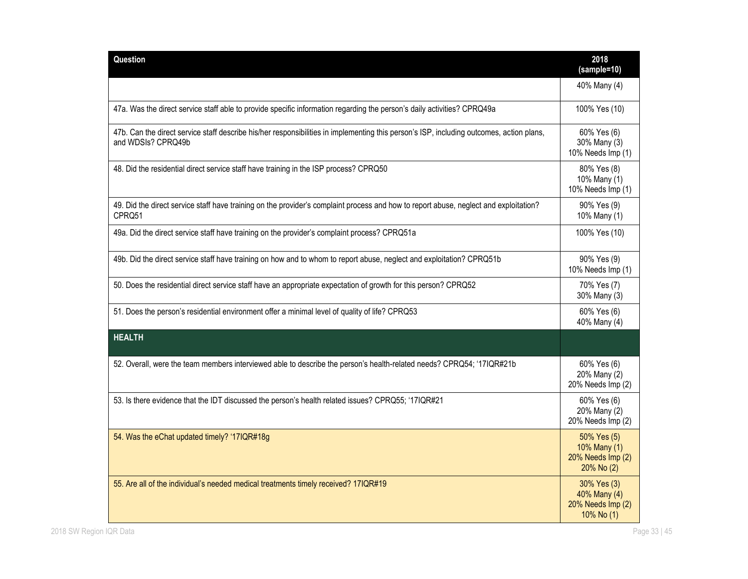| Question                                                                                                                                                       | 2018<br>(sample=10)                                            |
|----------------------------------------------------------------------------------------------------------------------------------------------------------------|----------------------------------------------------------------|
|                                                                                                                                                                | 40% Many (4)                                                   |
| 47a. Was the direct service staff able to provide specific information regarding the person's daily activities? CPRQ49a                                        | 100% Yes (10)                                                  |
| 47b. Can the direct service staff describe his/her responsibilities in implementing this person's ISP, including outcomes, action plans,<br>and WDSIs? CPRQ49b | 60% Yes (6)<br>30% Many (3)<br>10% Needs Imp (1)               |
| 48. Did the residential direct service staff have training in the ISP process? CPRQ50                                                                          | 80% Yes (8)<br>10% Many (1)<br>10% Needs Imp (1)               |
| 49. Did the direct service staff have training on the provider's complaint process and how to report abuse, neglect and exploitation?<br>CPRQ51                | 90% Yes (9)<br>10% Many (1)                                    |
| 49a. Did the direct service staff have training on the provider's complaint process? CPRQ51a                                                                   | 100% Yes (10)                                                  |
| 49b. Did the direct service staff have training on how and to whom to report abuse, neglect and exploitation? CPRQ51b                                          | 90% Yes (9)<br>10% Needs Imp (1)                               |
| 50. Does the residential direct service staff have an appropriate expectation of growth for this person? CPRQ52                                                | 70% Yes (7)<br>30% Many (3)                                    |
| 51. Does the person's residential environment offer a minimal level of quality of life? CPRQ53                                                                 | 60% Yes (6)<br>40% Many (4)                                    |
| <b>HEALTH</b>                                                                                                                                                  |                                                                |
| 52. Overall, were the team members interviewed able to describe the person's health-related needs? CPRQ54; '17IQR#21b                                          | 60% Yes (6)<br>20% Many (2)<br>20% Needs Imp (2)               |
| 53. Is there evidence that the IDT discussed the person's health related issues? CPRQ55; '17IQR#21                                                             | 60% Yes (6)<br>20% Many (2)<br>20% Needs Imp (2)               |
| 54. Was the eChat updated timely? '17IQR#18g                                                                                                                   | 50% Yes (5)<br>10% Many (1)<br>20% Needs Imp (2)<br>20% No (2) |
| 55. Are all of the individual's needed medical treatments timely received? 17IQR#19                                                                            | 30% Yes (3)<br>40% Many (4)<br>20% Needs Imp (2)<br>10% No (1) |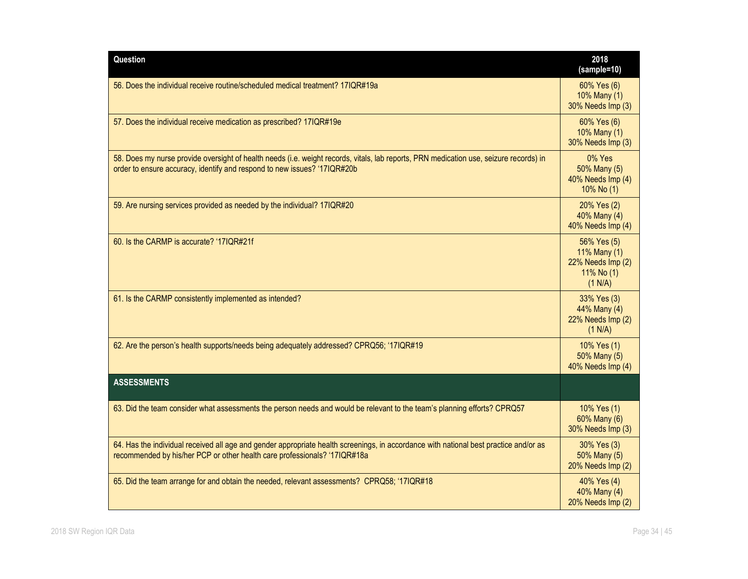| Question                                                                                                                                                                                                           | 2018<br>(sample=10)                                                         |
|--------------------------------------------------------------------------------------------------------------------------------------------------------------------------------------------------------------------|-----------------------------------------------------------------------------|
| 56. Does the individual receive routine/scheduled medical treatment? 17IQR#19a                                                                                                                                     | 60% Yes (6)<br>10% Many (1)<br>30% Needs Imp (3)                            |
| 57. Does the individual receive medication as prescribed? 17IQR#19e                                                                                                                                                | 60% Yes (6)<br>10% Many (1)<br>30% Needs Imp (3)                            |
| 58. Does my nurse provide oversight of health needs (i.e. weight records, vitals, lab reports, PRN medication use, seizure records) in<br>order to ensure accuracy, identify and respond to new issues? '17IQR#20b | 0% Yes<br>50% Many (5)<br>40% Needs Imp (4)<br>10% No (1)                   |
| 59. Are nursing services provided as needed by the individual? 17IQR#20                                                                                                                                            | 20% Yes (2)<br>40% Many (4)<br>40% Needs Imp (4)                            |
| 60. Is the CARMP is accurate? '17IQR#21f                                                                                                                                                                           | 56% Yes (5)<br>11% Many (1)<br>22% Needs Imp (2)<br>11% No $(1)$<br>(1 N/A) |
| 61. Is the CARMP consistently implemented as intended?                                                                                                                                                             | 33% Yes (3)<br>44% Many (4)<br>22% Needs Imp (2)<br>(1 N/A)                 |
| 62. Are the person's health supports/needs being adequately addressed? CPRQ56; '17IQR#19                                                                                                                           | 10% Yes (1)<br>50% Many (5)<br>40% Needs Imp (4)                            |
| <b>ASSESSMENTS</b>                                                                                                                                                                                                 |                                                                             |
| 63. Did the team consider what assessments the person needs and would be relevant to the team's planning efforts? CPRQ57                                                                                           | 10% Yes (1)<br>60% Many (6)<br>30% Needs Imp (3)                            |
| 64. Has the individual received all age and gender appropriate health screenings, in accordance with national best practice and/or as<br>recommended by his/her PCP or other health care professionals? '17IQR#18a | 30% Yes (3)<br>50% Many (5)<br>20% Needs Imp (2)                            |
| 65. Did the team arrange for and obtain the needed, relevant assessments? CPRQ58; '17IQR#18                                                                                                                        | 40% Yes (4)<br>40% Many (4)<br>20% Needs Imp (2)                            |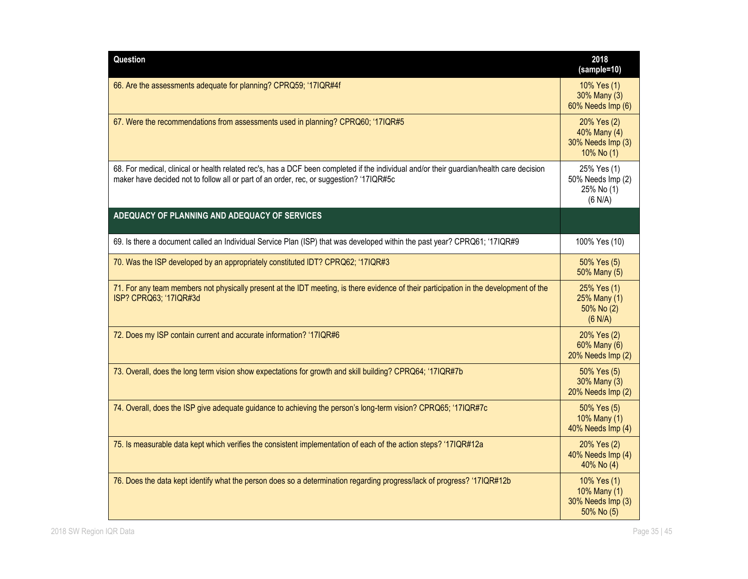| Question                                                                                                                                                                                                                            | 2018<br>(sample=10)                                            |
|-------------------------------------------------------------------------------------------------------------------------------------------------------------------------------------------------------------------------------------|----------------------------------------------------------------|
| 66. Are the assessments adequate for planning? CPRQ59; '17IQR#4f                                                                                                                                                                    | 10% Yes (1)<br>30% Many (3)<br>60% Needs Imp (6)               |
| 67. Were the recommendations from assessments used in planning? CPRQ60; '17IQR#5                                                                                                                                                    | 20% Yes (2)<br>40% Many (4)<br>30% Needs Imp (3)<br>10% No (1) |
| 68. For medical, clinical or health related rec's, has a DCF been completed if the individual and/or their guardian/health care decision<br>maker have decided not to follow all or part of an order, rec, or suggestion? '17IQR#5c | 25% Yes (1)<br>50% Needs Imp (2)<br>25% No (1)<br>(6 N/A)      |
| ADEQUACY OF PLANNING AND ADEQUACY OF SERVICES                                                                                                                                                                                       |                                                                |
| 69. Is there a document called an Individual Service Plan (ISP) that was developed within the past year? CPRQ61; '17IQR#9                                                                                                           | 100% Yes (10)                                                  |
| 70. Was the ISP developed by an appropriately constituted IDT? CPRQ62; '17IQR#3                                                                                                                                                     | 50% Yes (5)<br>50% Many (5)                                    |
| 71. For any team members not physically present at the IDT meeting, is there evidence of their participation in the development of the<br>ISP? CPRQ63; '17IQR#3d                                                                    | 25% Yes (1)<br>25% Many (1)<br>50% No (2)<br>(6 N/A)           |
| 72. Does my ISP contain current and accurate information? '17IQR#6                                                                                                                                                                  | 20% Yes (2)<br>60% Many (6)<br>20% Needs Imp (2)               |
| 73. Overall, does the long term vision show expectations for growth and skill building? CPRQ64; '17IQR#7b                                                                                                                           | 50% Yes (5)<br>30% Many (3)<br>20% Needs Imp (2)               |
| 74. Overall, does the ISP give adequate guidance to achieving the person's long-term vision? CPRQ65; '17IQR#7c                                                                                                                      | 50% Yes (5)<br>10% Many (1)<br>40% Needs Imp (4)               |
| 75. Is measurable data kept which verifies the consistent implementation of each of the action steps? '17IQR#12a                                                                                                                    | 20% Yes (2)<br>40% Needs Imp (4)<br>40% No (4)                 |
| 76. Does the data kept identify what the person does so a determination regarding progress/lack of progress? '17IQR#12b                                                                                                             | 10% Yes (1)<br>10% Many (1)<br>30% Needs Imp (3)<br>50% No (5) |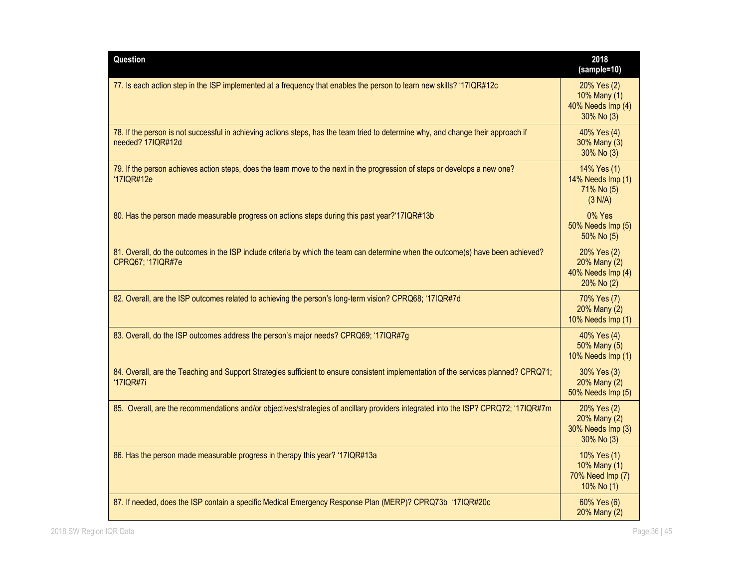| Question                                                                                                                                               | 2018<br>(sample=10)                                            |
|--------------------------------------------------------------------------------------------------------------------------------------------------------|----------------------------------------------------------------|
| 77. Is each action step in the ISP implemented at a frequency that enables the person to learn new skills? '17IQR#12c                                  | 20% Yes (2)<br>10% Many (1)<br>40% Needs Imp (4)<br>30% No (3) |
| 78. If the person is not successful in achieving actions steps, has the team tried to determine why, and change their approach if<br>needed? 17IQR#12d | 40% Yes (4)<br>30% Many (3)<br>30% No (3)                      |
| 79. If the person achieves action steps, does the team move to the next in the progression of steps or develops a new one?<br>'17IQR#12e               | 14% Yes (1)<br>14% Needs Imp (1)<br>71% No (5)<br>(3 N/A)      |
| 80. Has the person made measurable progress on actions steps during this past year?'17IQR#13b                                                          | 0% Yes<br>50% Needs Imp (5)<br>50% No (5)                      |
| 81. Overall, do the outcomes in the ISP include criteria by which the team can determine when the outcome(s) have been achieved?<br>CPRQ67; '17IQR#7e  | 20% Yes (2)<br>20% Many (2)<br>40% Needs Imp (4)<br>20% No (2) |
| 82. Overall, are the ISP outcomes related to achieving the person's long-term vision? CPRQ68; '17IQR#7d                                                | 70% Yes (7)<br>20% Many (2)<br>10% Needs Imp (1)               |
| 83. Overall, do the ISP outcomes address the person's major needs? CPRQ69; '17IQR#7g                                                                   | 40% Yes (4)<br>50% Many (5)<br>10% Needs Imp (1)               |
| 84. Overall, are the Teaching and Support Strategies sufficient to ensure consistent implementation of the services planned? CPRQ71;<br>'17IQR#7i      | 30% Yes (3)<br>20% Many (2)<br>50% Needs Imp (5)               |
| 85. Overall, are the recommendations and/or objectives/strategies of ancillary providers integrated into the ISP? CPRQ72; '17IQR#7m                    | 20% Yes (2)<br>20% Many (2)<br>30% Needs Imp (3)<br>30% No (3) |
| 86. Has the person made measurable progress in therapy this year? '17IQR#13a                                                                           | 10% Yes (1)<br>10% Many (1)<br>70% Need Imp (7)<br>10% No (1)  |
| 87. If needed, does the ISP contain a specific Medical Emergency Response Plan (MERP)? CPRQ73b '17IQR#20c                                              | 60% Yes (6)<br>20% Many (2)                                    |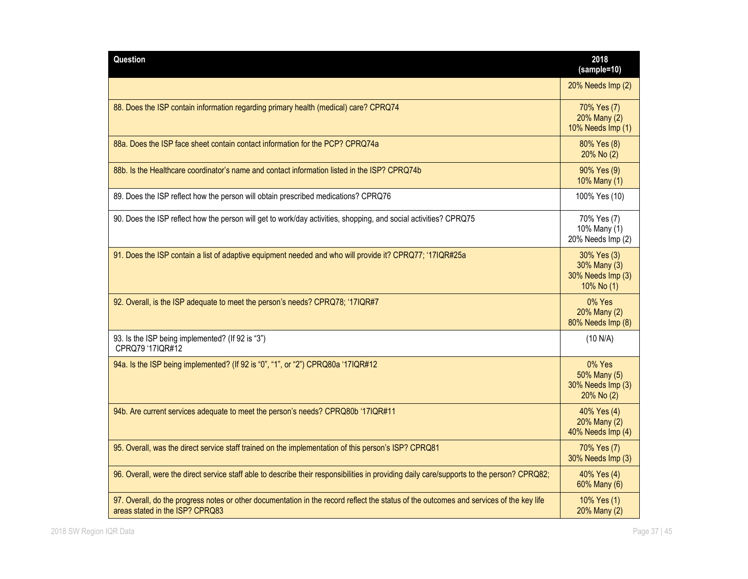| Question                                                                                                                                                                   | 2018<br>(sample=10)                                            |
|----------------------------------------------------------------------------------------------------------------------------------------------------------------------------|----------------------------------------------------------------|
|                                                                                                                                                                            | 20% Needs Imp (2)                                              |
| 88. Does the ISP contain information regarding primary health (medical) care? CPRQ74                                                                                       | 70% Yes (7)<br>20% Many (2)<br>10% Needs Imp (1)               |
| 88a. Does the ISP face sheet contain contact information for the PCP? CPRO74a                                                                                              | 80% Yes (8)<br>20% No (2)                                      |
| 88b. Is the Healthcare coordinator's name and contact information listed in the ISP? CPRQ74b                                                                               | 90% Yes (9)<br>10% Many (1)                                    |
| 89. Does the ISP reflect how the person will obtain prescribed medications? CPRQ76                                                                                         | 100% Yes (10)                                                  |
| 90. Does the ISP reflect how the person will get to work/day activities, shopping, and social activities? CPRQ75                                                           | 70% Yes (7)<br>10% Many (1)<br>20% Needs Imp (2)               |
| 91. Does the ISP contain a list of adaptive equipment needed and who will provide it? CPRQ77; '17IQR#25a                                                                   | 30% Yes (3)<br>30% Many (3)<br>30% Needs Imp (3)<br>10% No (1) |
| 92. Overall, is the ISP adequate to meet the person's needs? CPRQ78; '17IQR#7                                                                                              | 0% Yes<br>20% Many (2)<br>80% Needs Imp (8)                    |
| 93. Is the ISP being implemented? (If 92 is "3")<br>CPRQ79 '17IQR#12                                                                                                       | (10 N/A)                                                       |
| 94a. Is the ISP being implemented? (If 92 is "0", "1", or "2") CPRQ80a '17IQR#12                                                                                           | 0% Yes<br>50% Many (5)<br>30% Needs Imp (3)<br>20% No (2)      |
| 94b. Are current services adequate to meet the person's needs? CPRQ80b '17IQR#11                                                                                           | 40% Yes (4)<br>20% Many (2)<br>40% Needs Imp (4)               |
| 95. Overall, was the direct service staff trained on the implementation of this person's ISP? CPRQ81                                                                       | 70% Yes (7)<br>30% Needs Imp (3)                               |
| 96. Overall, were the direct service staff able to describe their responsibilities in providing daily care/supports to the person? CPRQ82;                                 | 40% Yes (4)<br>60% Many (6)                                    |
| 97. Overall, do the progress notes or other documentation in the record reflect the status of the outcomes and services of the key life<br>areas stated in the ISP? CPRQ83 | 10% Yes (1)<br>20% Many (2)                                    |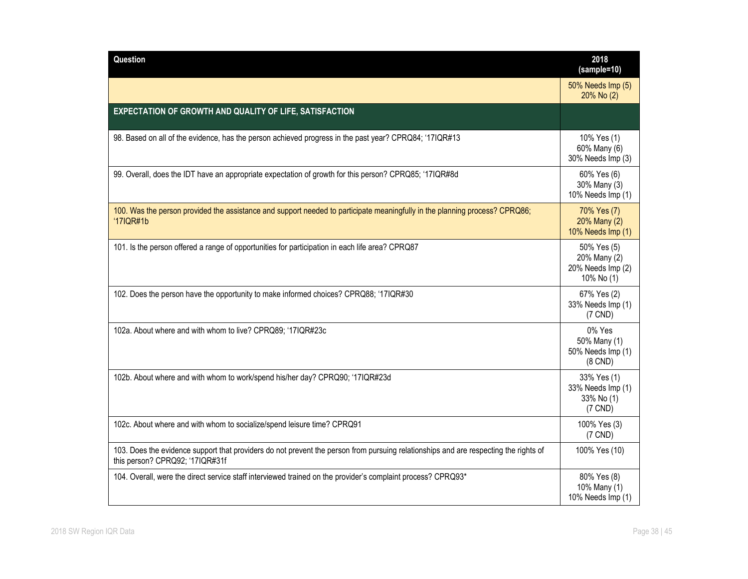| Question                                                                                                                                                                | 2018<br>(sample=10)                                            |
|-------------------------------------------------------------------------------------------------------------------------------------------------------------------------|----------------------------------------------------------------|
|                                                                                                                                                                         | 50% Needs Imp (5)<br>20% No (2)                                |
| EXPECTATION OF GROWTH AND QUALITY OF LIFE, SATISFACTION                                                                                                                 |                                                                |
| 98. Based on all of the evidence, has the person achieved progress in the past year? CPRQ84; '17IQR#13                                                                  | 10% Yes (1)<br>60% Many (6)<br>30% Needs Imp (3)               |
| 99. Overall, does the IDT have an appropriate expectation of growth for this person? CPRQ85; '17IQR#8d                                                                  | 60% Yes (6)<br>30% Many (3)<br>10% Needs Imp (1)               |
| 100. Was the person provided the assistance and support needed to participate meaningfully in the planning process? CPRQ86;<br>'17IQR#1b                                | 70% Yes (7)<br>20% Many (2)<br>10% Needs Imp (1)               |
| 101. Is the person offered a range of opportunities for participation in each life area? CPRQ87                                                                         | 50% Yes (5)<br>20% Many (2)<br>20% Needs Imp (2)<br>10% No (1) |
| 102. Does the person have the opportunity to make informed choices? CPRQ88; '17IQR#30                                                                                   | 67% Yes (2)<br>33% Needs Imp (1)<br>$(7$ CND)                  |
| 102a. About where and with whom to live? CPRQ89; '17IQR#23c                                                                                                             | 0% Yes<br>50% Many (1)<br>50% Needs Imp (1)<br>$(8$ CND $)$    |
| 102b. About where and with whom to work/spend his/her day? CPRQ90; '17IQR#23d                                                                                           | 33% Yes (1)<br>33% Needs Imp (1)<br>33% No (1)<br>$(7$ CND)    |
| 102c. About where and with whom to socialize/spend leisure time? CPRQ91                                                                                                 | 100% Yes (3)<br>$(7$ CND)                                      |
| 103. Does the evidence support that providers do not prevent the person from pursuing relationships and are respecting the rights of<br>this person? CPRQ92; '17IQR#31f | 100% Yes (10)                                                  |
| 104. Overall, were the direct service staff interviewed trained on the provider's complaint process? CPRQ93*                                                            | 80% Yes (8)<br>10% Many (1)<br>10% Needs Imp (1)               |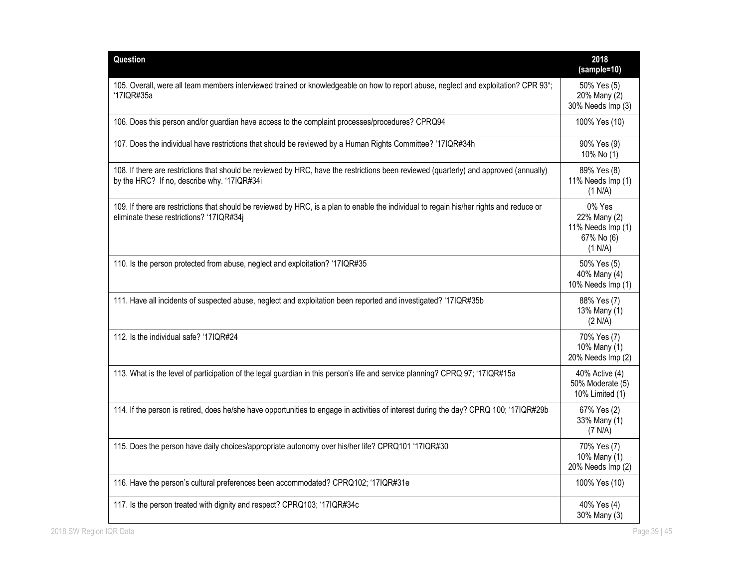| Question                                                                                                                                                                              | 2018<br>(sample=10)                                                  |
|---------------------------------------------------------------------------------------------------------------------------------------------------------------------------------------|----------------------------------------------------------------------|
| 105. Overall, were all team members interviewed trained or knowledgeable on how to report abuse, neglect and exploitation? CPR 93*;<br>'17IQR#35a                                     | 50% Yes (5)<br>20% Many (2)<br>30% Needs Imp (3)                     |
| 106. Does this person and/or guardian have access to the complaint processes/procedures? CPRQ94                                                                                       | 100% Yes (10)                                                        |
| 107. Does the individual have restrictions that should be reviewed by a Human Rights Committee? '17IQR#34h                                                                            | 90% Yes (9)<br>10% No (1)                                            |
| 108. If there are restrictions that should be reviewed by HRC, have the restrictions been reviewed (quarterly) and approved (annually)<br>by the HRC? If no, describe why. '17IQR#34i | 89% Yes (8)<br>11% Needs Imp (1)<br>(1 N/A)                          |
| 109. If there are restrictions that should be reviewed by HRC, is a plan to enable the individual to regain his/her rights and reduce or<br>eliminate these restrictions? '17IQR#34j  | 0% Yes<br>22% Many (2)<br>11% Needs Imp (1)<br>67% No (6)<br>(1 N/A) |
| 110. Is the person protected from abuse, neglect and exploitation? '17IQR#35                                                                                                          | 50% Yes (5)<br>40% Many (4)<br>10% Needs Imp (1)                     |
| 111. Have all incidents of suspected abuse, neglect and exploitation been reported and investigated? '17IQR#35b                                                                       | 88% Yes (7)<br>13% Many (1)<br>(2 N/A)                               |
| 112. Is the individual safe? '17IQR#24                                                                                                                                                | 70% Yes (7)<br>10% Many (1)<br>20% Needs Imp (2)                     |
| 113. What is the level of participation of the legal guardian in this person's life and service planning? CPRQ 97; '17IQR#15a                                                         | 40% Active (4)<br>50% Moderate (5)<br>10% Limited (1)                |
| 114. If the person is retired, does he/she have opportunities to engage in activities of interest during the day? CPRQ 100; '17IQR#29b                                                | 67% Yes (2)<br>33% Many (1)<br>(7 N/A)                               |
| 115. Does the person have daily choices/appropriate autonomy over his/her life? CPRQ101 '17IQR#30                                                                                     | 70% Yes (7)<br>10% Many (1)<br>20% Needs Imp (2)                     |
| 116. Have the person's cultural preferences been accommodated? CPRQ102; '17IQR#31e                                                                                                    | 100% Yes (10)                                                        |
| 117. Is the person treated with dignity and respect? CPRQ103; '17IQR#34c                                                                                                              | 40% Yes (4)<br>30% Many (3)                                          |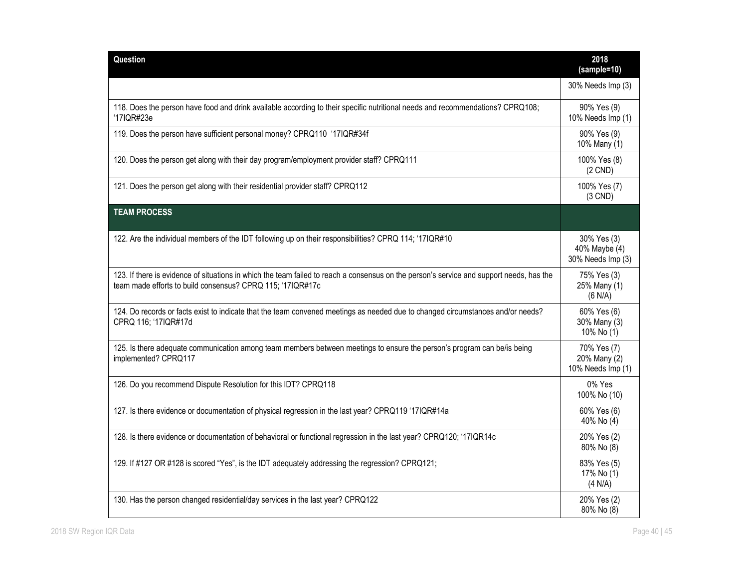| Question                                                                                                                                                                                               | 2018<br>(sample=10)                               |
|--------------------------------------------------------------------------------------------------------------------------------------------------------------------------------------------------------|---------------------------------------------------|
|                                                                                                                                                                                                        | 30% Needs Imp (3)                                 |
| 118. Does the person have food and drink available according to their specific nutritional needs and recommendations? CPRQ108;<br>'17IQR#23e                                                           | 90% Yes (9)<br>10% Needs Imp (1)                  |
| 119. Does the person have sufficient personal money? CPRQ110 '17IQR#34f                                                                                                                                | 90% Yes (9)<br>10% Many (1)                       |
| 120. Does the person get along with their day program/employment provider staff? CPRQ111                                                                                                               | 100% Yes (8)<br>$(2$ CND)                         |
| 121. Does the person get along with their residential provider staff? CPRQ112                                                                                                                          | 100% Yes (7)<br>$(3$ CND)                         |
| <b>TEAM PROCESS</b>                                                                                                                                                                                    |                                                   |
| 122. Are the individual members of the IDT following up on their responsibilities? CPRQ 114; '17IQR#10                                                                                                 | 30% Yes (3)<br>40% Maybe (4)<br>30% Needs Imp (3) |
| 123. If there is evidence of situations in which the team failed to reach a consensus on the person's service and support needs, has the<br>team made efforts to build consensus? CPRQ 115; '17IQR#17c | 75% Yes (3)<br>25% Many (1)<br>(6 N/A)            |
| 124. Do records or facts exist to indicate that the team convened meetings as needed due to changed circumstances and/or needs?<br>CPRQ 116; '17IQR#17d                                                | 60% Yes (6)<br>30% Many (3)<br>10% No (1)         |
| 125. Is there adequate communication among team members between meetings to ensure the person's program can be/is being<br>implemented? CPRQ117                                                        | 70% Yes (7)<br>20% Many (2)<br>10% Needs Imp (1)  |
| 126. Do you recommend Dispute Resolution for this IDT? CPRQ118                                                                                                                                         | 0% Yes<br>100% No (10)                            |
| 127. Is there evidence or documentation of physical regression in the last year? CPRQ119 '17IQR#14a                                                                                                    | 60% Yes (6)<br>40% No (4)                         |
| 128. Is there evidence or documentation of behavioral or functional regression in the last year? CPRQ120; '17IQR14c                                                                                    | 20% Yes (2)<br>80% No (8)                         |
| 129. If #127 OR #128 is scored "Yes", is the IDT adequately addressing the regression? CPRQ121;                                                                                                        | 83% Yes (5)<br>17% No (1)<br>(4 N/A)              |
| 130. Has the person changed residential/day services in the last year? CPRQ122                                                                                                                         | 20% Yes (2)<br>80% No (8)                         |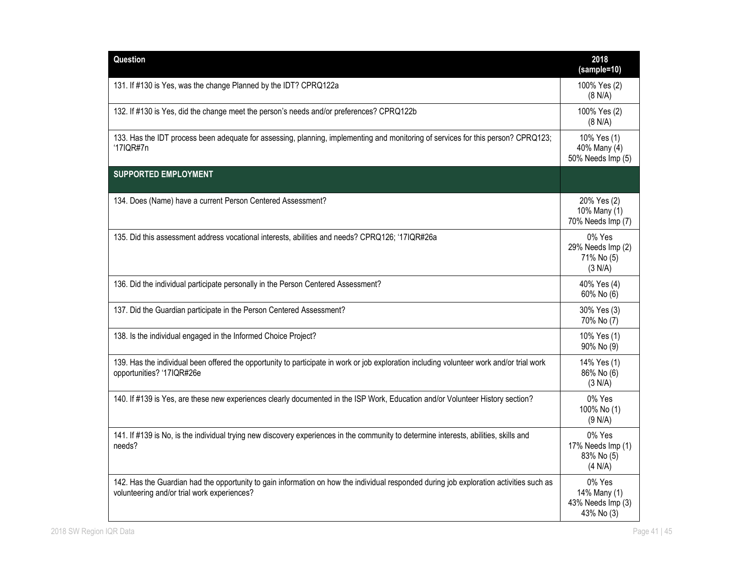| Question                                                                                                                                                                               | 2018<br>(sample=10)                                       |
|----------------------------------------------------------------------------------------------------------------------------------------------------------------------------------------|-----------------------------------------------------------|
| 131. If #130 is Yes, was the change Planned by the IDT? CPRQ122a                                                                                                                       | 100% Yes (2)<br>(8 N/A)                                   |
| 132. If #130 is Yes, did the change meet the person's needs and/or preferences? CPRQ122b                                                                                               | 100% Yes (2)<br>(8 N/A)                                   |
| 133. Has the IDT process been adequate for assessing, planning, implementing and monitoring of services for this person? CPRQ123;<br>'17IQR#7n                                         | 10% Yes (1)<br>40% Many (4)<br>50% Needs Imp (5)          |
| <b>SUPPORTED EMPLOYMENT</b>                                                                                                                                                            |                                                           |
| 134. Does (Name) have a current Person Centered Assessment?                                                                                                                            | 20% Yes (2)<br>10% Many (1)<br>70% Needs Imp (7)          |
| 135. Did this assessment address vocational interests, abilities and needs? CPRQ126; '17IQR#26a                                                                                        | 0% Yes<br>29% Needs Imp (2)<br>71% No (5)<br>(3 N/A)      |
| 136. Did the individual participate personally in the Person Centered Assessment?                                                                                                      | 40% Yes (4)<br>60% No (6)                                 |
| 137. Did the Guardian participate in the Person Centered Assessment?                                                                                                                   | 30% Yes (3)<br>70% No (7)                                 |
| 138. Is the individual engaged in the Informed Choice Project?                                                                                                                         | 10% Yes (1)<br>90% No (9)                                 |
| 139. Has the individual been offered the opportunity to participate in work or job exploration including volunteer work and/or trial work<br>opportunities? '17IQR#26e                 | 14% Yes (1)<br>86% No (6)<br>(3 N/A)                      |
| 140. If #139 is Yes, are these new experiences clearly documented in the ISP Work, Education and/or Volunteer History section?                                                         | 0% Yes<br>100% No (1)<br>(9 N/A)                          |
| 141. If #139 is No, is the individual trying new discovery experiences in the community to determine interests, abilities, skills and<br>needs?                                        | 0% Yes<br>17% Needs Imp (1)<br>83% No (5)<br>(4 N/A)      |
| 142. Has the Guardian had the opportunity to gain information on how the individual responded during job exploration activities such as<br>volunteering and/or trial work experiences? | 0% Yes<br>14% Many (1)<br>43% Needs Imp (3)<br>43% No (3) |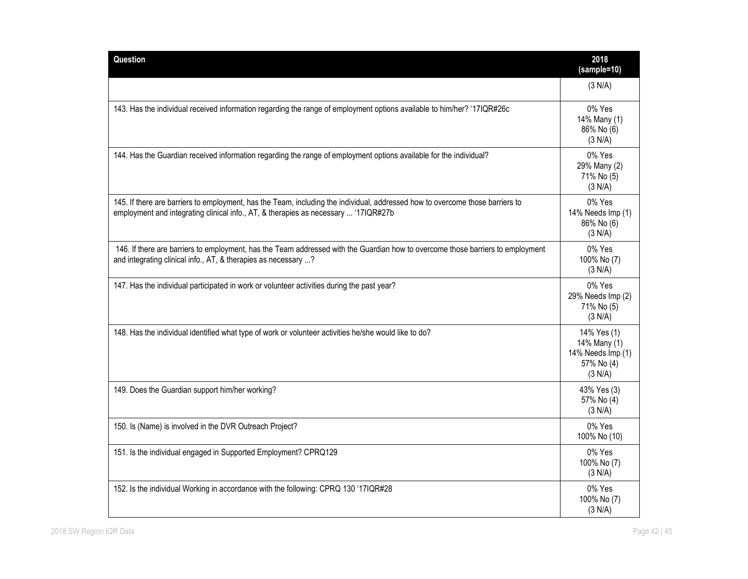| Question                                                                                                                                                                                                             | 2018<br>(sample=10)                                                       |
|----------------------------------------------------------------------------------------------------------------------------------------------------------------------------------------------------------------------|---------------------------------------------------------------------------|
|                                                                                                                                                                                                                      | (3 N/A)                                                                   |
| 143. Has the individual received information regarding the range of employment options available to him/her? '17IQR#26c                                                                                              | 0% Yes<br>14% Many (1)<br>86% No (6)<br>(3 N/A)                           |
| 144. Has the Guardian received information regarding the range of employment options available for the individual?                                                                                                   | 0% Yes<br>29% Many (2)<br>71% No (5)<br>(3 N/A)                           |
| 145. If there are barriers to employment, has the Team, including the individual, addressed how to overcome those barriers to<br>employment and integrating clinical info., AT, & therapies as necessary  '17IQR#27b | 0% Yes<br>14% Needs Imp (1)<br>86% No (6)<br>(3 N/A)                      |
| 146. If there are barriers to employment, has the Team addressed with the Guardian how to overcome those barriers to employment<br>and integrating clinical info., AT, & therapies as necessary ?                    | 0% Yes<br>100% No (7)<br>(3 N/A)                                          |
| 147. Has the individual participated in work or volunteer activities during the past year?                                                                                                                           | 0% Yes<br>29% Needs Imp (2)<br>71% No (5)<br>(3 N/A)                      |
| 148. Has the individual identified what type of work or volunteer activities he/she would like to do?                                                                                                                | 14% Yes (1)<br>14% Many (1)<br>14% Needs Imp (1)<br>57% No (4)<br>(3 N/A) |
| 149. Does the Guardian support him/her working?                                                                                                                                                                      | 43% Yes (3)<br>57% No (4)<br>(3 N/A)                                      |
| 150. Is (Name) is involved in the DVR Outreach Project?                                                                                                                                                              | 0% Yes<br>100% No (10)                                                    |
| 151. Is the individual engaged in Supported Employment? CPRQ129                                                                                                                                                      | 0% Yes<br>100% No (7)<br>(3 N/A)                                          |
| 152. Is the individual Working in accordance with the following: CPRQ 130 '17IQR#28                                                                                                                                  | 0% Yes<br>100% No (7)<br>(3 N/A)                                          |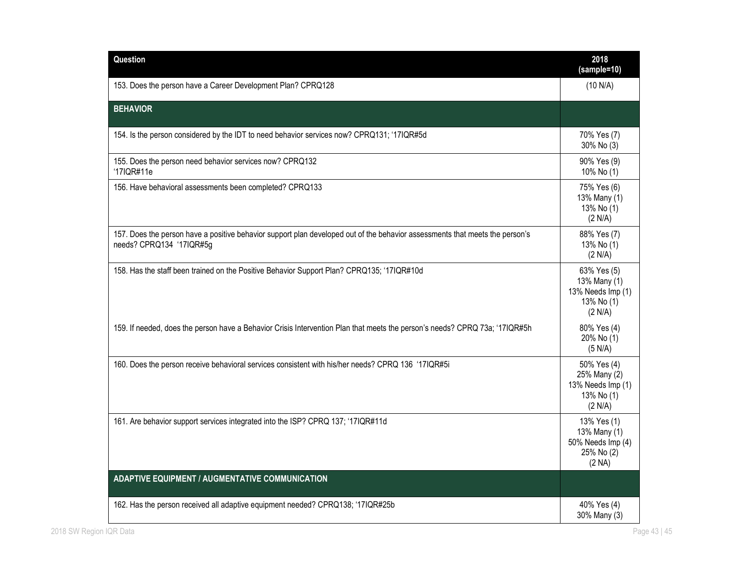| Question                                                                                                                                                 | 2018<br>(sample=10)                                                       |
|----------------------------------------------------------------------------------------------------------------------------------------------------------|---------------------------------------------------------------------------|
| 153. Does the person have a Career Development Plan? CPRQ128                                                                                             | (10 N/A)                                                                  |
| <b>BEHAVIOR</b>                                                                                                                                          |                                                                           |
| 154. Is the person considered by the IDT to need behavior services now? CPRQ131; '17IQR#5d                                                               | 70% Yes (7)<br>30% No (3)                                                 |
| 155. Does the person need behavior services now? CPRQ132<br>'17IQR#11e                                                                                   | 90% Yes (9)<br>10% No (1)                                                 |
| 156. Have behavioral assessments been completed? CPRQ133                                                                                                 | 75% Yes (6)<br>13% Many (1)<br>13% No (1)<br>(2 N/A)                      |
| 157. Does the person have a positive behavior support plan developed out of the behavior assessments that meets the person's<br>needs? CPRQ134 '17IQR#5g | 88% Yes (7)<br>13% No (1)<br>(2 N/A)                                      |
| 158. Has the staff been trained on the Positive Behavior Support Plan? CPRQ135; '17IQR#10d                                                               | 63% Yes (5)<br>13% Many (1)<br>13% Needs Imp (1)<br>13% No (1)<br>(2 N/A) |
| 159. If needed, does the person have a Behavior Crisis Intervention Plan that meets the person's needs? CPRQ 73a; '17IQR#5h                              | 80% Yes (4)<br>20% No (1)<br>(5 N/A)                                      |
| 160. Does the person receive behavioral services consistent with his/her needs? CPRQ 136 '17IQR#5i                                                       | 50% Yes (4)<br>25% Many (2)<br>13% Needs Imp (1)<br>13% No (1)<br>(2 N/A) |
| 161. Are behavior support services integrated into the ISP? CPRQ 137; '17IQR#11d                                                                         | 13% Yes (1)<br>13% Many (1)<br>50% Needs Imp (4)<br>25% No (2)<br>(2 NA)  |
| <b>ADAPTIVE EQUIPMENT / AUGMENTATIVE COMMUNICATION</b>                                                                                                   |                                                                           |
| 162. Has the person received all adaptive equipment needed? CPRQ138; '17IQR#25b                                                                          | 40% Yes (4)<br>30% Many (3)                                               |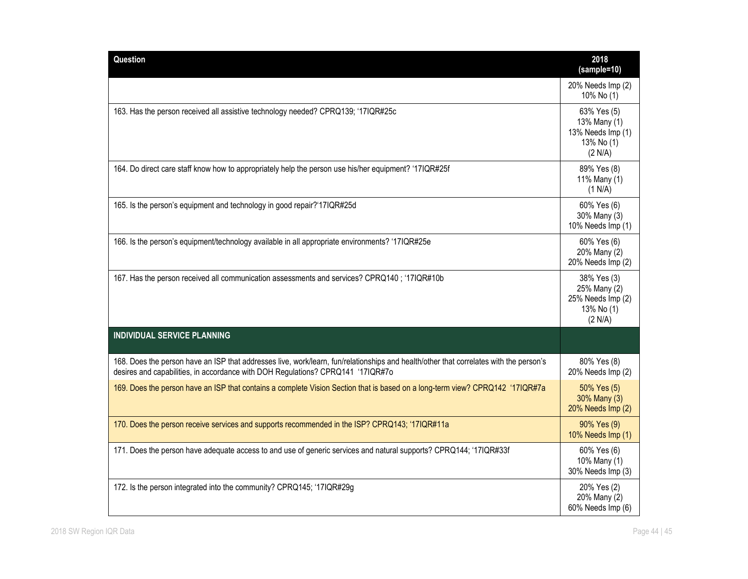| Question                                                                                                                                                                                                                  | 2018<br>(sample=10)                                                       |
|---------------------------------------------------------------------------------------------------------------------------------------------------------------------------------------------------------------------------|---------------------------------------------------------------------------|
|                                                                                                                                                                                                                           | 20% Needs Imp (2)<br>10% No (1)                                           |
| 163. Has the person received all assistive technology needed? CPRQ139; '17IQR#25c                                                                                                                                         | 63% Yes (5)<br>13% Many (1)<br>13% Needs Imp (1)<br>13% No (1)<br>(2 N/A) |
| 164. Do direct care staff know how to appropriately help the person use his/her equipment? '17IQR#25f                                                                                                                     | 89% Yes (8)<br>11% Many (1)<br>(1 N/A)                                    |
| 165. Is the person's equipment and technology in good repair?'17IQR#25d                                                                                                                                                   | 60% Yes (6)<br>30% Many (3)<br>10% Needs Imp (1)                          |
| 166. Is the person's equipment/technology available in all appropriate environments? '17IQR#25e                                                                                                                           | 60% Yes (6)<br>20% Many (2)<br>20% Needs Imp (2)                          |
| 167. Has the person received all communication assessments and services? CPRQ140; '17IQR#10b                                                                                                                              | 38% Yes (3)<br>25% Many (2)<br>25% Needs Imp (2)<br>13% No (1)<br>(2 N/A) |
| <b>INDIVIDUAL SERVICE PLANNING</b>                                                                                                                                                                                        |                                                                           |
| 168. Does the person have an ISP that addresses live, work/learn, fun/relationships and health/other that correlates with the person's<br>desires and capabilities, in accordance with DOH Regulations? CPRQ141 '17IQR#7o | 80% Yes (8)<br>20% Needs Imp (2)                                          |
| 169. Does the person have an ISP that contains a complete Vision Section that is based on a long-term view? CPRQ142 '17IQR#7a                                                                                             | 50% Yes (5)<br>30% Many (3)<br>20% Needs Imp (2)                          |
| 170. Does the person receive services and supports recommended in the ISP? CPRQ143; '17IQR#11a                                                                                                                            | 90% Yes (9)<br>10% Needs Imp (1)                                          |
| 171. Does the person have adequate access to and use of generic services and natural supports? CPRQ144; '17IQR#33f                                                                                                        | 60% Yes (6)<br>10% Many (1)<br>30% Needs Imp (3)                          |
| 172. Is the person integrated into the community? CPRQ145; '17IQR#29g                                                                                                                                                     | 20% Yes (2)<br>20% Many (2)<br>60% Needs Imp (6)                          |